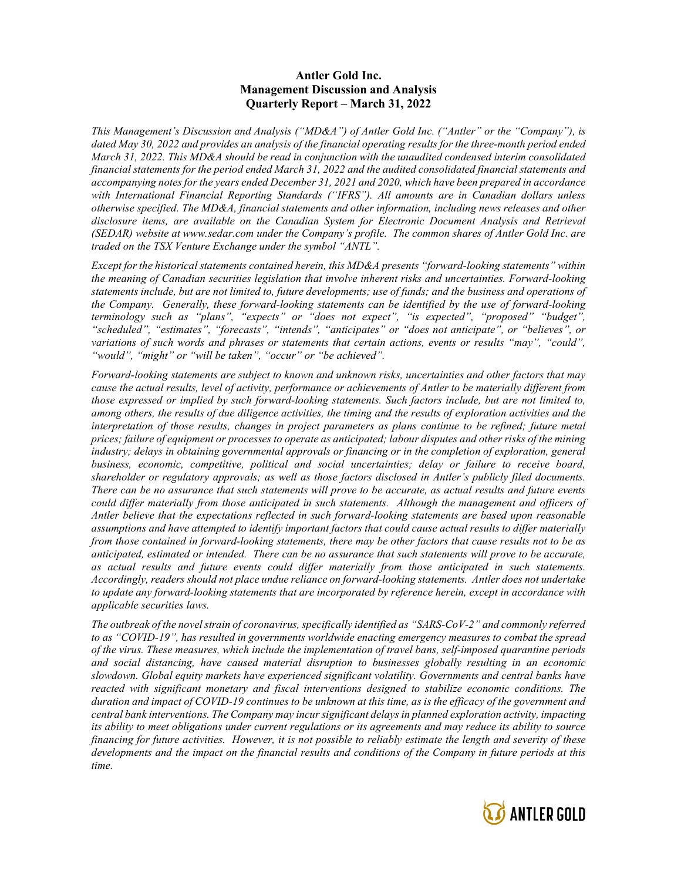## Antler Gold Inc. Management Discussion and Analysis Quarterly Report – March 31, 2022

This Management's Discussion and Analysis ("MD&A") of Antler Gold Inc. ("Antler" or the "Company"), is dated May 30, 2022 and provides an analysis of the financial operating results for the three-month period ended March 31, 2022. This MD&A should be read in conjunction with the unaudited condensed interim consolidated financial statements for the period ended March 31, 2022 and the audited consolidated financial statements and accompanying notes for the years ended December 31, 2021 and 2020, which have been prepared in accordance with International Financial Reporting Standards ("IFRS"). All amounts are in Canadian dollars unless otherwise specified. The MD&A, financial statements and other information, including news releases and other disclosure items, are available on the Canadian System for Electronic Document Analysis and Retrieval (SEDAR) website at www.sedar.com under the Company's profile. The common shares of Antler Gold Inc. are traded on the TSX Venture Exchange under the symbol "ANTL".

Except for the historical statements contained herein, this MD&A presents "forward-looking statements" within the meaning of Canadian securities legislation that involve inherent risks and uncertainties. Forward-looking statements include, but are not limited to, future developments; use of funds; and the business and operations of the Company. Generally, these forward-looking statements can be identified by the use of forward-looking terminology such as "plans", "expects" or "does not expect", "is expected", "proposed" "budget", "scheduled", "estimates", "forecasts", "intends", "anticipates" or "does not anticipate", or "believes", or variations of such words and phrases or statements that certain actions, events or results "may", "could", "would", "might" or "will be taken", "occur" or "be achieved".

Forward-looking statements are subject to known and unknown risks, uncertainties and other factors that may cause the actual results, level of activity, performance or achievements of Antler to be materially different from those expressed or implied by such forward-looking statements. Such factors include, but are not limited to, among others, the results of due diligence activities, the timing and the results of exploration activities and the interpretation of those results, changes in project parameters as plans continue to be refined; future metal prices; failure of equipment or processes to operate as anticipated; labour disputes and other risks of the mining industry; delays in obtaining governmental approvals or financing or in the completion of exploration, general business, economic, competitive, political and social uncertainties; delay or failure to receive board, shareholder or regulatory approvals; as well as those factors disclosed in Antler's publicly filed documents. There can be no assurance that such statements will prove to be accurate, as actual results and future events could differ materially from those anticipated in such statements. Although the management and officers of Antler believe that the expectations reflected in such forward-looking statements are based upon reasonable assumptions and have attempted to identify important factors that could cause actual results to differ materially from those contained in forward-looking statements, there may be other factors that cause results not to be as anticipated, estimated or intended. There can be no assurance that such statements will prove to be accurate, as actual results and future events could differ materially from those anticipated in such statements. Accordingly, readers should not place undue reliance on forward-looking statements. Antler does not undertake to update any forward-looking statements that are incorporated by reference herein, except in accordance with applicable securities laws.

The outbreak of the novel strain of coronavirus, specifically identified as "SARS-CoV-2" and commonly referred to as "COVID-19", has resulted in governments worldwide enacting emergency measures to combat the spread of the virus. These measures, which include the implementation of travel bans, self-imposed quarantine periods and social distancing, have caused material disruption to businesses globally resulting in an economic slowdown. Global equity markets have experienced significant volatility. Governments and central banks have reacted with significant monetary and fiscal interventions designed to stabilize economic conditions. The duration and impact of COVID-19 continues to be unknown at this time, as is the efficacy of the government and central bank interventions. The Company may incur significant delays in planned exploration activity, impacting its ability to meet obligations under current regulations or its agreements and may reduce its ability to source financing for future activities. However, it is not possible to reliably estimate the length and severity of these developments and the impact on the financial results and conditions of the Company in future periods at this time.

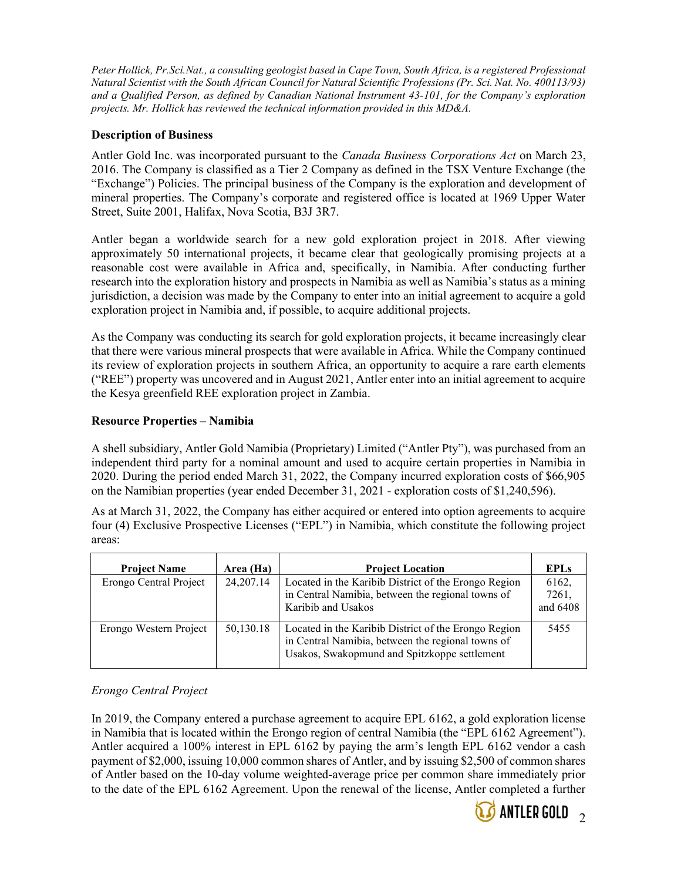Peter Hollick, Pr.Sci.Nat., a consulting geologist based in Cape Town, South Africa, is a registered Professional Natural Scientist with the South African Council for Natural Scientific Professions (Pr. Sci. Nat. No. 400113/93) and a Qualified Person, as defined by Canadian National Instrument 43-101, for the Company's exploration projects. Mr. Hollick has reviewed the technical information provided in this MD&A.

# Description of Business

Antler Gold Inc. was incorporated pursuant to the *Canada Business Corporations Act* on March 23, 2016. The Company is classified as a Tier 2 Company as defined in the TSX Venture Exchange (the "Exchange") Policies. The principal business of the Company is the exploration and development of mineral properties. The Company's corporate and registered office is located at 1969 Upper Water Street, Suite 2001, Halifax, Nova Scotia, B3J 3R7.

Antler began a worldwide search for a new gold exploration project in 2018. After viewing approximately 50 international projects, it became clear that geologically promising projects at a reasonable cost were available in Africa and, specifically, in Namibia. After conducting further research into the exploration history and prospects in Namibia as well as Namibia's status as a mining jurisdiction, a decision was made by the Company to enter into an initial agreement to acquire a gold exploration project in Namibia and, if possible, to acquire additional projects.

As the Company was conducting its search for gold exploration projects, it became increasingly clear that there were various mineral prospects that were available in Africa. While the Company continued its review of exploration projects in southern Africa, an opportunity to acquire a rare earth elements ("REE") property was uncovered and in August 2021, Antler enter into an initial agreement to acquire the Kesya greenfield REE exploration project in Zambia.

# Resource Properties – Namibia

A shell subsidiary, Antler Gold Namibia (Proprietary) Limited ("Antler Pty"), was purchased from an independent third party for a nominal amount and used to acquire certain properties in Namibia in 2020. During the period ended March 31, 2022, the Company incurred exploration costs of \$66,905 on the Namibian properties (year ended December 31, 2021 - exploration costs of \$1,240,596).

As at March 31, 2022, the Company has either acquired or entered into option agreements to acquire four (4) Exclusive Prospective Licenses ("EPL") in Namibia, which constitute the following project areas:

| <b>Project Name</b>    | Area (Ha)   | <b>Project Location</b>                                                                                                                                   | <b>EPLs</b>                |
|------------------------|-------------|-----------------------------------------------------------------------------------------------------------------------------------------------------------|----------------------------|
| Erongo Central Project | 24, 207. 14 | Located in the Karibib District of the Erongo Region<br>in Central Namibia, between the regional towns of<br>Karibib and Usakos                           | 6162,<br>7261,<br>and 6408 |
| Erongo Western Project | 50,130.18   | Located in the Karibib District of the Erongo Region<br>in Central Namibia, between the regional towns of<br>Usakos, Swakopmund and Spitzkoppe settlement | 5455                       |

# Erongo Central Project

In 2019, the Company entered a purchase agreement to acquire EPL 6162, a gold exploration license in Namibia that is located within the Erongo region of central Namibia (the "EPL 6162 Agreement"). Antler acquired a 100% interest in EPL 6162 by paying the arm's length EPL 6162 vendor a cash payment of \$2,000, issuing 10,000 common shares of Antler, and by issuing \$2,500 of common shares of Antler based on the 10-day volume weighted-average price per common share immediately prior to the date of the EPL 6162 Agreement. Upon the renewal of the license, Antler completed a further

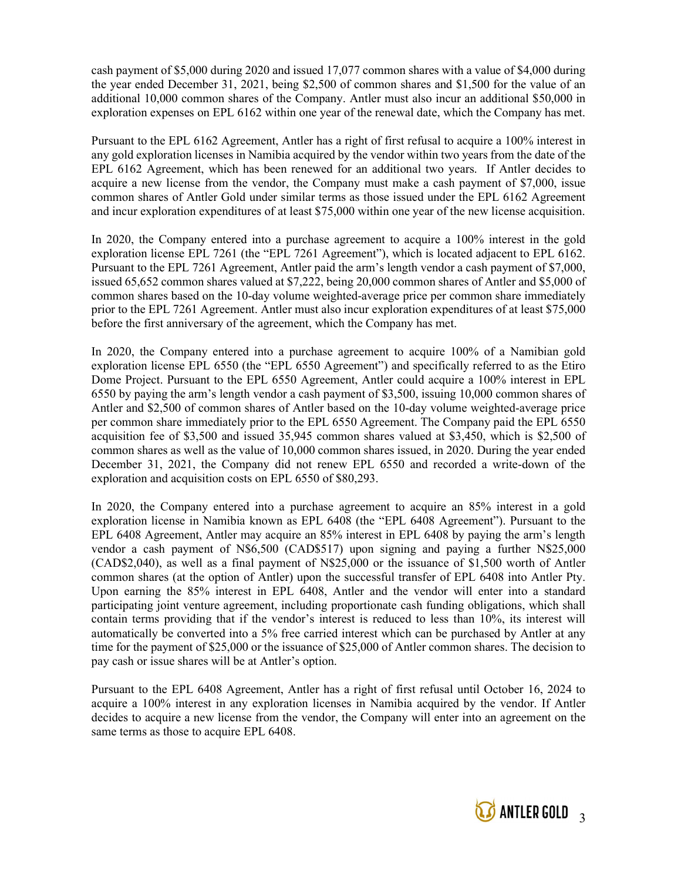cash payment of \$5,000 during 2020 and issued 17,077 common shares with a value of \$4,000 during the year ended December 31, 2021, being \$2,500 of common shares and \$1,500 for the value of an additional 10,000 common shares of the Company. Antler must also incur an additional \$50,000 in exploration expenses on EPL 6162 within one year of the renewal date, which the Company has met.

Pursuant to the EPL 6162 Agreement, Antler has a right of first refusal to acquire a 100% interest in any gold exploration licenses in Namibia acquired by the vendor within two years from the date of the EPL 6162 Agreement, which has been renewed for an additional two years. If Antler decides to acquire a new license from the vendor, the Company must make a cash payment of \$7,000, issue common shares of Antler Gold under similar terms as those issued under the EPL 6162 Agreement and incur exploration expenditures of at least \$75,000 within one year of the new license acquisition.

In 2020, the Company entered into a purchase agreement to acquire a 100% interest in the gold exploration license EPL 7261 (the "EPL 7261 Agreement"), which is located adjacent to EPL 6162. Pursuant to the EPL 7261 Agreement, Antler paid the arm's length vendor a cash payment of \$7,000, issued 65,652 common shares valued at \$7,222, being 20,000 common shares of Antler and \$5,000 of common shares based on the 10-day volume weighted-average price per common share immediately prior to the EPL 7261 Agreement. Antler must also incur exploration expenditures of at least \$75,000 before the first anniversary of the agreement, which the Company has met.

In 2020, the Company entered into a purchase agreement to acquire 100% of a Namibian gold exploration license EPL 6550 (the "EPL 6550 Agreement") and specifically referred to as the Etiro Dome Project. Pursuant to the EPL 6550 Agreement, Antler could acquire a 100% interest in EPL 6550 by paying the arm's length vendor a cash payment of \$3,500, issuing 10,000 common shares of Antler and \$2,500 of common shares of Antler based on the 10-day volume weighted-average price per common share immediately prior to the EPL 6550 Agreement. The Company paid the EPL 6550 acquisition fee of \$3,500 and issued 35,945 common shares valued at \$3,450, which is \$2,500 of common shares as well as the value of 10,000 common shares issued, in 2020. During the year ended December 31, 2021, the Company did not renew EPL 6550 and recorded a write-down of the exploration and acquisition costs on EPL 6550 of \$80,293.

In 2020, the Company entered into a purchase agreement to acquire an 85% interest in a gold exploration license in Namibia known as EPL 6408 (the "EPL 6408 Agreement"). Pursuant to the EPL 6408 Agreement, Antler may acquire an 85% interest in EPL 6408 by paying the arm's length vendor a cash payment of N\$6,500 (CAD\$517) upon signing and paying a further N\$25,000 (CAD\$2,040), as well as a final payment of N\$25,000 or the issuance of \$1,500 worth of Antler common shares (at the option of Antler) upon the successful transfer of EPL 6408 into Antler Pty. Upon earning the 85% interest in EPL 6408, Antler and the vendor will enter into a standard participating joint venture agreement, including proportionate cash funding obligations, which shall contain terms providing that if the vendor's interest is reduced to less than 10%, its interest will automatically be converted into a 5% free carried interest which can be purchased by Antler at any time for the payment of \$25,000 or the issuance of \$25,000 of Antler common shares. The decision to pay cash or issue shares will be at Antler's option.

Pursuant to the EPL 6408 Agreement, Antler has a right of first refusal until October 16, 2024 to acquire a 100% interest in any exploration licenses in Namibia acquired by the vendor. If Antler decides to acquire a new license from the vendor, the Company will enter into an agreement on the same terms as those to acquire EPL 6408.

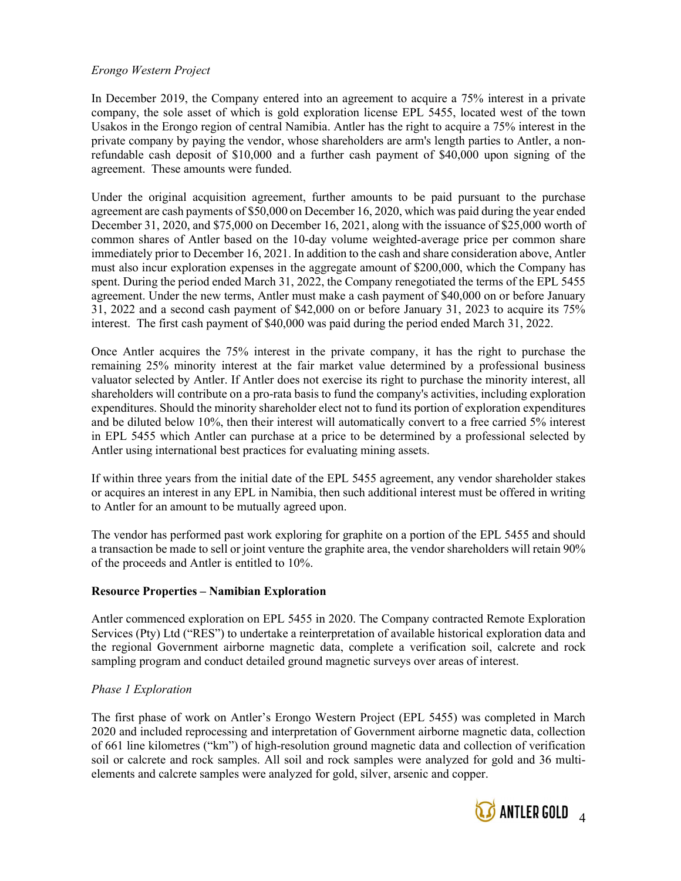## Erongo Western Project

In December 2019, the Company entered into an agreement to acquire a 75% interest in a private company, the sole asset of which is gold exploration license EPL 5455, located west of the town Usakos in the Erongo region of central Namibia. Antler has the right to acquire a 75% interest in the private company by paying the vendor, whose shareholders are arm's length parties to Antler, a nonrefundable cash deposit of \$10,000 and a further cash payment of \$40,000 upon signing of the agreement. These amounts were funded.

Under the original acquisition agreement, further amounts to be paid pursuant to the purchase agreement are cash payments of \$50,000 on December 16, 2020, which was paid during the year ended December 31, 2020, and \$75,000 on December 16, 2021, along with the issuance of \$25,000 worth of common shares of Antler based on the 10-day volume weighted-average price per common share immediately prior to December 16, 2021. In addition to the cash and share consideration above, Antler must also incur exploration expenses in the aggregate amount of \$200,000, which the Company has spent. During the period ended March 31, 2022, the Company renegotiated the terms of the EPL 5455 agreement. Under the new terms, Antler must make a cash payment of \$40,000 on or before January 31, 2022 and a second cash payment of \$42,000 on or before January 31, 2023 to acquire its 75% interest. The first cash payment of \$40,000 was paid during the period ended March 31, 2022.

Once Antler acquires the 75% interest in the private company, it has the right to purchase the remaining 25% minority interest at the fair market value determined by a professional business valuator selected by Antler. If Antler does not exercise its right to purchase the minority interest, all shareholders will contribute on a pro-rata basis to fund the company's activities, including exploration expenditures. Should the minority shareholder elect not to fund its portion of exploration expenditures and be diluted below 10%, then their interest will automatically convert to a free carried 5% interest in EPL 5455 which Antler can purchase at a price to be determined by a professional selected by Antler using international best practices for evaluating mining assets.

If within three years from the initial date of the EPL 5455 agreement, any vendor shareholder stakes or acquires an interest in any EPL in Namibia, then such additional interest must be offered in writing to Antler for an amount to be mutually agreed upon.

The vendor has performed past work exploring for graphite on a portion of the EPL 5455 and should a transaction be made to sell or joint venture the graphite area, the vendor shareholders will retain 90% of the proceeds and Antler is entitled to 10%.

## Resource Properties – Namibian Exploration

Antler commenced exploration on EPL 5455 in 2020. The Company contracted Remote Exploration Services (Pty) Ltd ("RES") to undertake a reinterpretation of available historical exploration data and the regional Government airborne magnetic data, complete a verification soil, calcrete and rock sampling program and conduct detailed ground magnetic surveys over areas of interest.

## Phase 1 Exploration

The first phase of work on Antler's Erongo Western Project (EPL 5455) was completed in March 2020 and included reprocessing and interpretation of Government airborne magnetic data, collection of 661 line kilometres ("km") of high-resolution ground magnetic data and collection of verification soil or calcrete and rock samples. All soil and rock samples were analyzed for gold and 36 multielements and calcrete samples were analyzed for gold, silver, arsenic and copper.

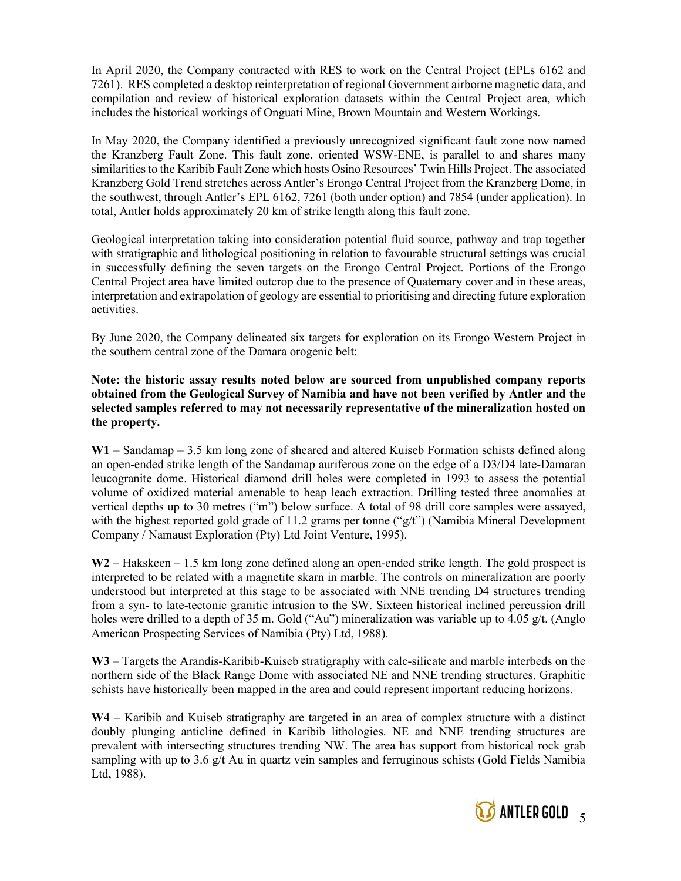In April 2020, the Company contracted with RES to work on the Central Project (EPLs 6162 and 7261). RES completed a desktop reinterpretation of regional Government airborne magnetic data, and compilation and review of historical exploration datasets within the Central Project area, which includes the historical workings of Onguati Mine, Brown Mountain and Western Workings.

In May 2020, the Company identified a previously unrecognized significant fault zone now named the Kranzberg Fault Zone. This fault zone, oriented WSW-ENE, is parallel to and shares many similarities to the Karibib Fault Zone which hosts Osino Resources' Twin Hills Project. The associated Kranzberg Gold Trend stretches across Antler's Erongo Central Project from the Kranzberg Dome, in the southwest, through Antler's EPL 6162, 7261 (both under option) and 7854 (under application). In total, Antler holds approximately 20 km of strike length along this fault zone.

Geological interpretation taking into consideration potential fluid source, pathway and trap together with stratigraphic and lithological positioning in relation to favourable structural settings was crucial in successfully defining the seven targets on the Erongo Central Project. Portions of the Erongo Central Project area have limited outcrop due to the presence of Quaternary cover and in these areas, interpretation and extrapolation of geology are essential to prioritising and directing future exploration activities.

By June 2020, the Company delineated six targets for exploration on its Erongo Western Project in the southern central zone of the Damara orogenic belt:

Note: the historic assay results noted below are sourced from unpublished company reports obtained from the Geological Survey of Namibia and have not been verified by Antler and the selected samples referred to may not necessarily representative of the mineralization hosted on the property.

W1 – Sandamap – 3.5 km long zone of sheared and altered Kuiseb Formation schists defined along an open-ended strike length of the Sandamap auriferous zone on the edge of a D3/D4 late‐Damaran leucogranite dome. Historical diamond drill holes were completed in 1993 to assess the potential volume of oxidized material amenable to heap leach extraction. Drilling tested three anomalies at vertical depths up to 30 metres ("m") below surface. A total of 98 drill core samples were assayed, with the highest reported gold grade of 11.2 grams per tonne (" $g/t$ ") (Namibia Mineral Development Company / Namaust Exploration (Pty) Ltd Joint Venture, 1995).

W2 – Hakskeen – 1.5 km long zone defined along an open-ended strike length. The gold prospect is interpreted to be related with a magnetite skarn in marble. The controls on mineralization are poorly understood but interpreted at this stage to be associated with NNE trending D4 structures trending from a syn- to late-tectonic granitic intrusion to the SW. Sixteen historical inclined percussion drill holes were drilled to a depth of 35 m. Gold ("Au") mineralization was variable up to 4.05 g/t. (Anglo American Prospecting Services of Namibia (Pty) Ltd, 1988).

W3 – Targets the Arandis-Karibib-Kuiseb stratigraphy with calc-silicate and marble interbeds on the northern side of the Black Range Dome with associated NE and NNE trending structures. Graphitic schists have historically been mapped in the area and could represent important reducing horizons.

W4 – Karibib and Kuiseb stratigraphy are targeted in an area of complex structure with a distinct doubly plunging anticline defined in Karibib lithologies. NE and NNE trending structures are prevalent with intersecting structures trending NW. The area has support from historical rock grab sampling with up to 3.6 g/t Au in quartz vein samples and ferruginous schists (Gold Fields Namibia Ltd, 1988).

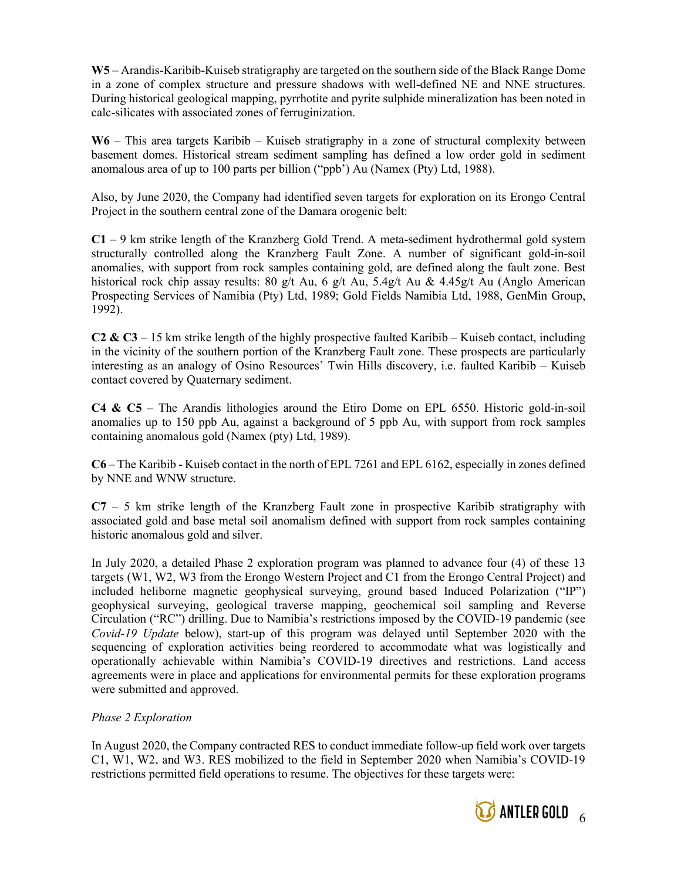W5 – Arandis-Karibib-Kuiseb stratigraphy are targeted on the southern side of the Black Range Dome in a zone of complex structure and pressure shadows with well-defined NE and NNE structures. During historical geological mapping, pyrrhotite and pyrite sulphide mineralization has been noted in calc-silicates with associated zones of ferruginization.

W6 – This area targets Karibib – Kuiseb stratigraphy in a zone of structural complexity between basement domes. Historical stream sediment sampling has defined a low order gold in sediment anomalous area of up to 100 parts per billion ("ppb') Au (Namex (Pty) Ltd, 1988).

Also, by June 2020, the Company had identified seven targets for exploration on its Erongo Central Project in the southern central zone of the Damara orogenic belt:

C1 – 9 km strike length of the Kranzberg Gold Trend. A meta-sediment hydrothermal gold system structurally controlled along the Kranzberg Fault Zone. A number of significant gold-in-soil anomalies, with support from rock samples containing gold, are defined along the fault zone. Best historical rock chip assay results: 80 g/t Au, 6 g/t Au, 5.4g/t Au & 4.45g/t Au (Anglo American Prospecting Services of Namibia (Pty) Ltd, 1989; Gold Fields Namibia Ltd, 1988, GenMin Group, 1992).

C2 & C3 – 15 km strike length of the highly prospective faulted Karibib – Kuiseb contact, including in the vicinity of the southern portion of the Kranzberg Fault zone. These prospects are particularly interesting as an analogy of Osino Resources' Twin Hills discovery, i.e. faulted Karibib – Kuiseb contact covered by Quaternary sediment.

C4 & C5 – The Arandis lithologies around the Etiro Dome on EPL 6550. Historic gold-in-soil anomalies up to 150 ppb Au, against a background of 5 ppb Au, with support from rock samples containing anomalous gold (Namex (pty) Ltd, 1989).

C6 – The Karibib - Kuiseb contact in the north of EPL 7261 and EPL 6162, especially in zones defined by NNE and WNW structure.

C7 – 5 km strike length of the Kranzberg Fault zone in prospective Karibib stratigraphy with associated gold and base metal soil anomalism defined with support from rock samples containing historic anomalous gold and silver.

In July 2020, a detailed Phase 2 exploration program was planned to advance four (4) of these 13 targets (W1, W2, W3 from the Erongo Western Project and C1 from the Erongo Central Project) and included heliborne magnetic geophysical surveying, ground based Induced Polarization ("IP") geophysical surveying, geological traverse mapping, geochemical soil sampling and Reverse Circulation ("RC") drilling. Due to Namibia's restrictions imposed by the COVID-19 pandemic (see Covid-19 Update below), start-up of this program was delayed until September 2020 with the sequencing of exploration activities being reordered to accommodate what was logistically and operationally achievable within Namibia's COVID-19 directives and restrictions. Land access agreements were in place and applications for environmental permits for these exploration programs were submitted and approved.

# Phase 2 Exploration

In August 2020, the Company contracted RES to conduct immediate follow‐up field work over targets C1, W1, W2, and W3. RES mobilized to the field in September 2020 when Namibia's COVID-19 restrictions permitted field operations to resume. The objectives for these targets were:

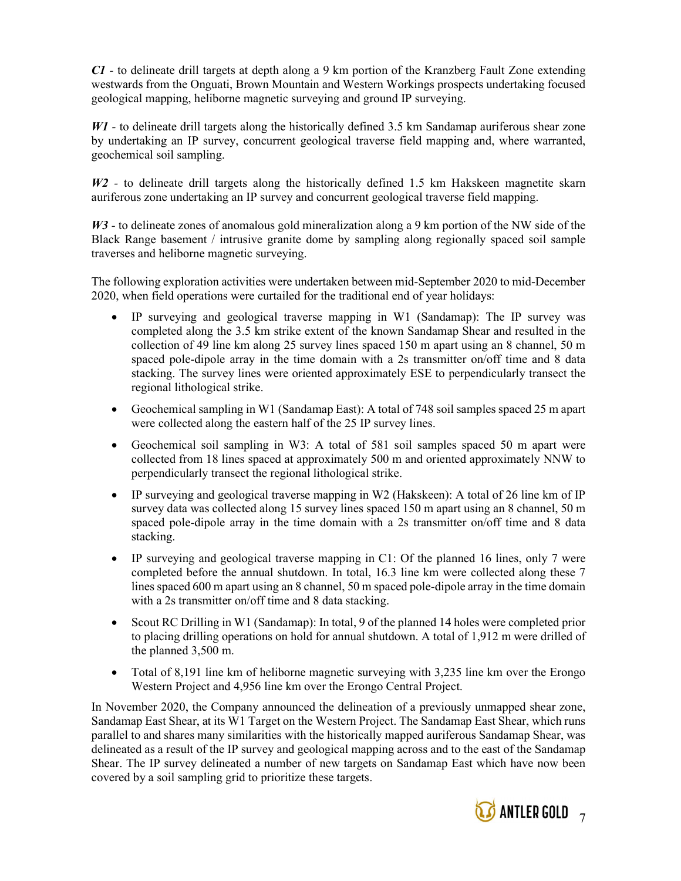C1 - to delineate drill targets at depth along a 9 km portion of the Kranzberg Fault Zone extending westwards from the Onguati, Brown Mountain and Western Workings prospects undertaking focused geological mapping, heliborne magnetic surveying and ground IP surveying.

W<sub>1</sub> - to delineate drill targets along the historically defined 3.5 km Sandamap auriferous shear zone by undertaking an IP survey, concurrent geological traverse field mapping and, where warranted, geochemical soil sampling.

W2 - to delineate drill targets along the historically defined 1.5 km Hakskeen magnetite skarn auriferous zone undertaking an IP survey and concurrent geological traverse field mapping.

W3 - to delineate zones of anomalous gold mineralization along a 9 km portion of the NW side of the Black Range basement / intrusive granite dome by sampling along regionally spaced soil sample traverses and heliborne magnetic surveying.

The following exploration activities were undertaken between mid-September 2020 to mid-December 2020, when field operations were curtailed for the traditional end of year holidays:

- IP surveying and geological traverse mapping in W1 (Sandamap): The IP survey was completed along the 3.5 km strike extent of the known Sandamap Shear and resulted in the collection of 49 line km along 25 survey lines spaced 150 m apart using an 8 channel, 50 m spaced pole-dipole array in the time domain with a 2s transmitter on/off time and 8 data stacking. The survey lines were oriented approximately ESE to perpendicularly transect the regional lithological strike.
- Geochemical sampling in W1 (Sandamap East): A total of 748 soil samples spaced 25 m apart were collected along the eastern half of the 25 IP survey lines.
- Geochemical soil sampling in W3: A total of 581 soil samples spaced 50 m apart were collected from 18 lines spaced at approximately 500 m and oriented approximately NNW to perpendicularly transect the regional lithological strike.
- IP surveying and geological traverse mapping in W2 (Hakskeen): A total of 26 line km of IP survey data was collected along 15 survey lines spaced 150 m apart using an 8 channel, 50 m spaced pole-dipole array in the time domain with a 2s transmitter on/off time and 8 data stacking.
- IP surveying and geological traverse mapping in C1: Of the planned 16 lines, only 7 were completed before the annual shutdown. In total, 16.3 line km were collected along these 7 lines spaced 600 m apart using an 8 channel, 50 m spaced pole-dipole array in the time domain with a 2s transmitter on/off time and 8 data stacking.
- Scout RC Drilling in W1 (Sandamap): In total, 9 of the planned 14 holes were completed prior to placing drilling operations on hold for annual shutdown. A total of 1,912 m were drilled of the planned 3,500 m.
- Total of 8,191 line km of heliborne magnetic surveying with 3,235 line km over the Erongo Western Project and 4,956 line km over the Erongo Central Project.

In November 2020, the Company announced the delineation of a previously unmapped shear zone, Sandamap East Shear, at its W1 Target on the Western Project. The Sandamap East Shear, which runs parallel to and shares many similarities with the historically mapped auriferous Sandamap Shear, was delineated as a result of the IP survey and geological mapping across and to the east of the Sandamap Shear. The IP survey delineated a number of new targets on Sandamap East which have now been covered by a soil sampling grid to prioritize these targets.

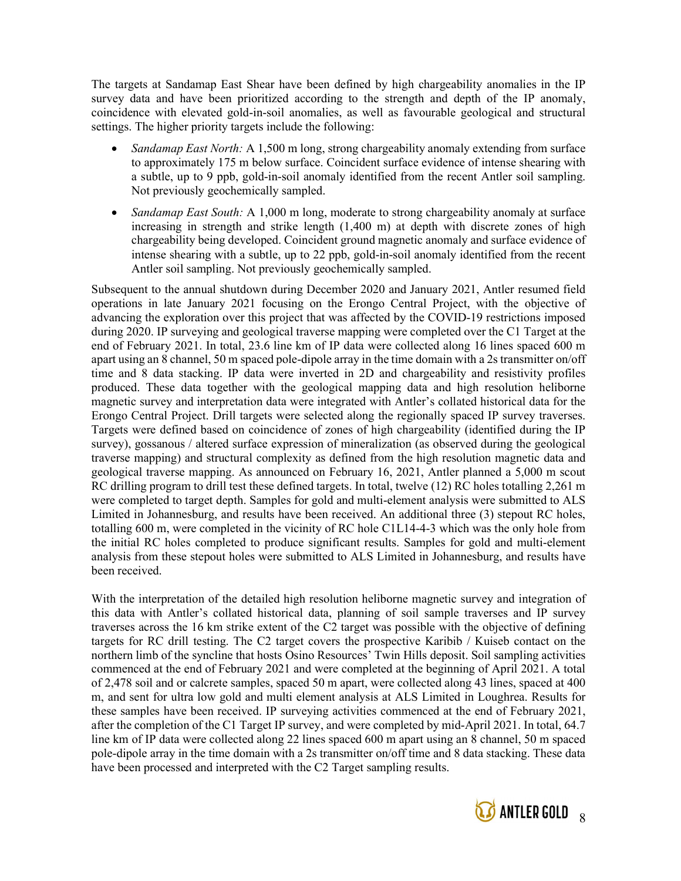The targets at Sandamap East Shear have been defined by high chargeability anomalies in the IP survey data and have been prioritized according to the strength and depth of the IP anomaly, coincidence with elevated gold-in-soil anomalies, as well as favourable geological and structural settings. The higher priority targets include the following:

- Sandamap East North: A 1,500 m long, strong chargeability anomaly extending from surface to approximately 175 m below surface. Coincident surface evidence of intense shearing with a subtle, up to 9 ppb, gold-in-soil anomaly identified from the recent Antler soil sampling. Not previously geochemically sampled.
- Sandamap East South: A 1,000 m long, moderate to strong chargeability anomaly at surface increasing in strength and strike length (1,400 m) at depth with discrete zones of high chargeability being developed. Coincident ground magnetic anomaly and surface evidence of intense shearing with a subtle, up to 22 ppb, gold-in-soil anomaly identified from the recent Antler soil sampling. Not previously geochemically sampled.

Subsequent to the annual shutdown during December 2020 and January 2021, Antler resumed field operations in late January 2021 focusing on the Erongo Central Project, with the objective of advancing the exploration over this project that was affected by the COVID-19 restrictions imposed during 2020. IP surveying and geological traverse mapping were completed over the C1 Target at the end of February 2021. In total, 23.6 line km of IP data were collected along 16 lines spaced 600 m apart using an 8 channel, 50 m spaced pole-dipole array in the time domain with a 2s transmitter on/off time and 8 data stacking. IP data were inverted in 2D and chargeability and resistivity profiles produced. These data together with the geological mapping data and high resolution heliborne magnetic survey and interpretation data were integrated with Antler's collated historical data for the Erongo Central Project. Drill targets were selected along the regionally spaced IP survey traverses. Targets were defined based on coincidence of zones of high chargeability (identified during the IP survey), gossanous / altered surface expression of mineralization (as observed during the geological traverse mapping) and structural complexity as defined from the high resolution magnetic data and geological traverse mapping. As announced on February 16, 2021, Antler planned a 5,000 m scout RC drilling program to drill test these defined targets. In total, twelve (12) RC holes totalling 2,261 m were completed to target depth. Samples for gold and multi-element analysis were submitted to ALS Limited in Johannesburg, and results have been received. An additional three (3) stepout RC holes, totalling 600 m, were completed in the vicinity of RC hole C1L14-4-3 which was the only hole from the initial RC holes completed to produce significant results. Samples for gold and multi-element analysis from these stepout holes were submitted to ALS Limited in Johannesburg, and results have been received.

With the interpretation of the detailed high resolution heliborne magnetic survey and integration of this data with Antler's collated historical data, planning of soil sample traverses and IP survey traverses across the 16 km strike extent of the C2 target was possible with the objective of defining targets for RC drill testing. The C2 target covers the prospective Karibib / Kuiseb contact on the northern limb of the syncline that hosts Osino Resources' Twin Hills deposit. Soil sampling activities commenced at the end of February 2021 and were completed at the beginning of April 2021. A total of 2,478 soil and or calcrete samples, spaced 50 m apart, were collected along 43 lines, spaced at 400 m, and sent for ultra low gold and multi element analysis at ALS Limited in Loughrea. Results for these samples have been received. IP surveying activities commenced at the end of February 2021, after the completion of the C1 Target IP survey, and were completed by mid-April 2021. In total, 64.7 line km of IP data were collected along 22 lines spaced 600 m apart using an 8 channel, 50 m spaced pole-dipole array in the time domain with a 2s transmitter on/off time and 8 data stacking. These data have been processed and interpreted with the C2 Target sampling results.

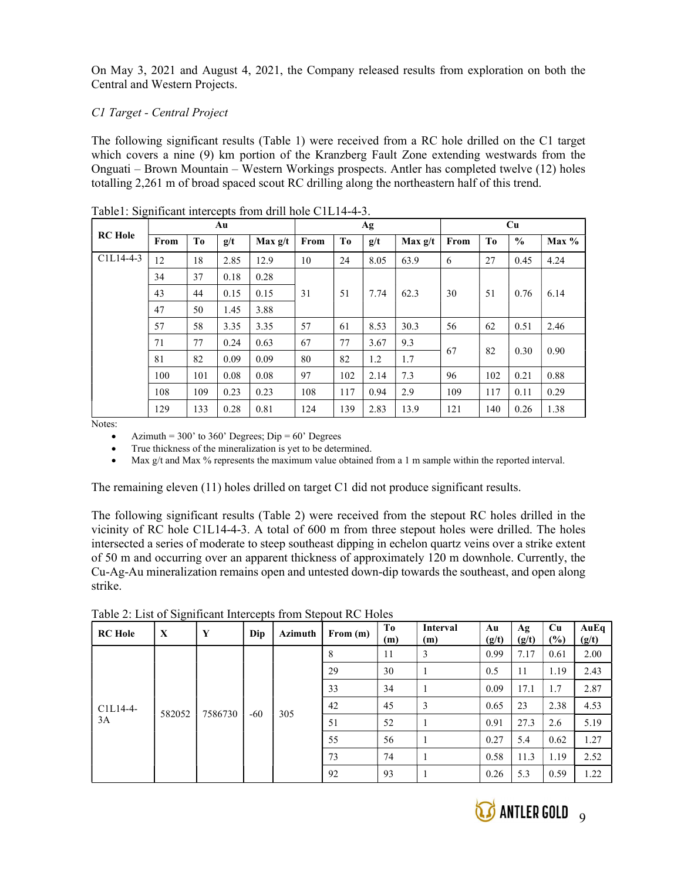On May 3, 2021 and August 4, 2021, the Company released results from exploration on both the Central and Western Projects.

# C1 Target - Central Project

The following significant results (Table 1) were received from a RC hole drilled on the C1 target which covers a nine (9) km portion of the Kranzberg Fault Zone extending westwards from the Onguati – Brown Mountain – Western Workings prospects. Antler has completed twelve (12) holes totalling 2,261 m of broad spaced scout RC drilling along the northeastern half of this trend.

|                | Au   |                |      |           | Ag   |     |      |           | Cu   |                |               |         |
|----------------|------|----------------|------|-----------|------|-----|------|-----------|------|----------------|---------------|---------|
| <b>RC</b> Hole | From | T <sub>0</sub> | g/t  | Max $g/t$ | From | To  | g/t  | Max $g/t$ | From | T <sub>0</sub> | $\frac{0}{0}$ | $Max\%$ |
| $C1L14-4-3$    | 12   | 18             | 2.85 | 12.9      | 10   | 24  | 8.05 | 63.9      | 6    | 27             | 0.45          | 4.24    |
|                | 34   | 37             | 0.18 | 0.28      |      |     |      |           |      |                |               |         |
|                | 43   | 44             | 0.15 | 0.15      | 31   | 51  | 7.74 | 62.3      | 30   | 51             | 0.76          | 6.14    |
|                | 47   | 50             | 1.45 | 3.88      |      |     |      |           |      |                |               |         |
|                | 57   | 58             | 3.35 | 3.35      | 57   | 61  | 8.53 | 30.3      | 56   | 62             | 0.51          | 2.46    |
|                | 71   | 77             | 0.24 | 0.63      | 67   | 77  | 3.67 | 9.3       | 67   | 82             | 0.30          | 0.90    |
|                | 81   | 82             | 0.09 | 0.09      | 80   | 82  | 1.2  | 1.7       |      |                |               |         |
|                | 100  | 101            | 0.08 | 0.08      | 97   | 102 | 2.14 | 7.3       | 96   | 102            | 0.21          | 0.88    |
|                | 108  | 109            | 0.23 | 0.23      | 108  | 117 | 0.94 | 2.9       | 109  | 117            | 0.11          | 0.29    |
|                | 129  | 133            | 0.28 | 0.81      | 124  | 139 | 2.83 | 13.9      | 121  | 140            | 0.26          | 1.38    |

Table1: Significant intercepts from drill hole C1L14-4-3.

Notes:

Azimuth =  $300'$  to  $360'$  Degrees; Dip =  $60'$  Degrees

True thickness of the mineralization is yet to be determined.

Max g/t and Max % represents the maximum value obtained from a 1 m sample within the reported interval.

The remaining eleven (11) holes drilled on target C1 did not produce significant results.

The following significant results (Table 2) were received from the stepout RC holes drilled in the vicinity of RC hole C1L14-4-3. A total of 600 m from three stepout holes were drilled. The holes intersected a series of moderate to steep southeast dipping in echelon quartz veins over a strike extent of 50 m and occurring over an apparent thickness of approximately 120 m downhole. Currently, the Cu-Ag-Au mineralization remains open and untested down-dip towards the southeast, and open along strike.

| <b>RC</b> Hole | X      | Y       | Dip   | Azimuth | From (m) | T <sub>0</sub><br>(m) | Interval<br>(m) | Au<br>(g/t) | Ag<br>(g/t) | Cu<br>(%) | AuEq<br>(g/t) |
|----------------|--------|---------|-------|---------|----------|-----------------------|-----------------|-------------|-------------|-----------|---------------|
|                |        |         |       |         | 8        | 11                    | 3               | 0.99        | 7.17        | 0.61      | 2.00          |
|                |        |         |       |         | 29       | 30                    |                 | 0.5         | 11          | 1.19      | 2.43          |
|                |        |         |       | 33      | 34       |                       | 0.09            | 17.1        | 1.7         | 2.87      |               |
| $C1L14-4-$     | 582052 | 7586730 | $-60$ | 305     | 42       | 45                    | 3               | 0.65        | 23          | 2.38      | 4.53          |
| 3A             |        |         |       |         | 51       | 52                    |                 | 0.91        | 27.3        | 2.6       | 5.19          |
|                |        |         |       |         | 55       | 56                    |                 | 0.27        | 5.4         | 0.62      | 1.27          |
|                |        |         |       |         | 73       | 74                    |                 | 0.58        | 11.3        | 1.19      | 2.52          |
|                |        |         |       |         | 92       | 93                    |                 | 0.26        | 5.3         | 0.59      | 1.22          |

Table 2: List of Significant Intercepts from Stepout RC Holes

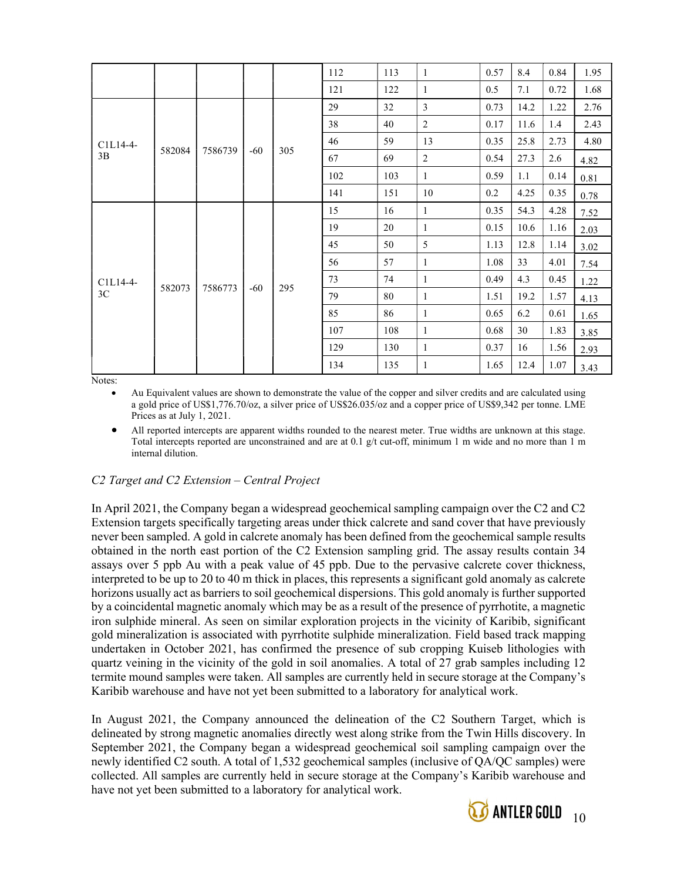|          |        |         |       |     | 112 | 113 | $\mathbf{1}$   | 0.57 | 8.4  | 0.84 | 1.95 |
|----------|--------|---------|-------|-----|-----|-----|----------------|------|------|------|------|
|          |        |         |       |     | 121 | 122 | $\mathbf{1}$   | 0.5  | 7.1  | 0.72 | 1.68 |
|          |        |         |       |     | 29  | 32  | $\overline{3}$ | 0.73 | 14.2 | 1.22 | 2.76 |
|          |        |         |       |     | 38  | 40  | $\overline{2}$ | 0.17 | 11.6 | 1.4  | 2.43 |
| C1L14-4- | 582084 | 7586739 |       |     | 46  | 59  | 13             | 0.35 | 25.8 | 2.73 | 4.80 |
| 3B       |        |         | $-60$ | 305 | 67  | 69  | $\sqrt{2}$     | 0.54 | 27.3 | 2.6  | 4.82 |
|          |        |         |       |     | 102 | 103 | $\mathbf{1}$   | 0.59 | 1.1  | 0.14 | 0.81 |
|          |        |         |       |     | 141 | 151 | 10             | 0.2  | 4.25 | 0.35 | 0.78 |
|          |        |         | $-60$ |     | 15  | 16  | $\mathbf{1}$   | 0.35 | 54.3 | 4.28 | 7.52 |
|          |        |         |       |     | 19  | 20  | $\mathbf{1}$   | 0.15 | 10.6 | 1.16 | 2.03 |
|          |        |         |       |     | 45  | 50  | 5              | 1.13 | 12.8 | 1.14 | 3.02 |
|          |        |         |       |     | 56  | 57  | $\mathbf{1}$   | 1.08 | 33   | 4.01 | 7.54 |
| C1L14-4- | 582073 | 7586773 |       |     | 73  | 74  | $\mathbf{1}$   | 0.49 | 4.3  | 0.45 | 1.22 |
| 3C       |        |         |       | 295 | 79  | 80  | $\mathbf{1}$   | 1.51 | 19.2 | 1.57 | 4.13 |
|          |        |         |       |     | 85  | 86  | $\mathbf{1}$   | 0.65 | 6.2  | 0.61 | 1.65 |
|          |        |         |       |     | 107 | 108 | $\mathbf{1}$   | 0.68 | 30   | 1.83 | 3.85 |
|          |        |         |       |     | 129 | 130 | $\mathbf{1}$   | 0.37 | 16   | 1.56 | 2.93 |
|          |        |         |       |     | 134 | 135 | $\mathbf{1}$   | 1.65 | 12.4 | 1.07 | 3.43 |

Notes:

 Au Equivalent values are shown to demonstrate the value of the copper and silver credits and are calculated using a gold price of US\$1,776.70/oz, a silver price of US\$26.035/oz and a copper price of US\$9,342 per tonne. LME Prices as at July 1, 2021.

 All reported intercepts are apparent widths rounded to the nearest meter. True widths are unknown at this stage. Total intercepts reported are unconstrained and are at 0.1 g/t cut-off, minimum 1 m wide and no more than 1 m internal dilution.

# C2 Target and C2 Extension – Central Project

In April 2021, the Company began a widespread geochemical sampling campaign over the C2 and C2 Extension targets specifically targeting areas under thick calcrete and sand cover that have previously never been sampled. A gold in calcrete anomaly has been defined from the geochemical sample results obtained in the north east portion of the C2 Extension sampling grid. The assay results contain 34 assays over 5 ppb Au with a peak value of 45 ppb. Due to the pervasive calcrete cover thickness, interpreted to be up to 20 to 40 m thick in places, this represents a significant gold anomaly as calcrete horizons usually act as barriers to soil geochemical dispersions. This gold anomaly is further supported by a coincidental magnetic anomaly which may be as a result of the presence of pyrrhotite, a magnetic iron sulphide mineral. As seen on similar exploration projects in the vicinity of Karibib, significant gold mineralization is associated with pyrrhotite sulphide mineralization. Field based track mapping undertaken in October 2021, has confirmed the presence of sub cropping Kuiseb lithologies with quartz veining in the vicinity of the gold in soil anomalies. A total of 27 grab samples including 12 termite mound samples were taken. All samples are currently held in secure storage at the Company's Karibib warehouse and have not yet been submitted to a laboratory for analytical work.

In August 2021, the Company announced the delineation of the C2 Southern Target, which is delineated by strong magnetic anomalies directly west along strike from the Twin Hills discovery. In September 2021, the Company began a widespread geochemical soil sampling campaign over the newly identified C2 south. A total of 1,532 geochemical samples (inclusive of QA/QC samples) were collected. All samples are currently held in secure storage at the Company's Karibib warehouse and have not yet been submitted to a laboratory for analytical work.

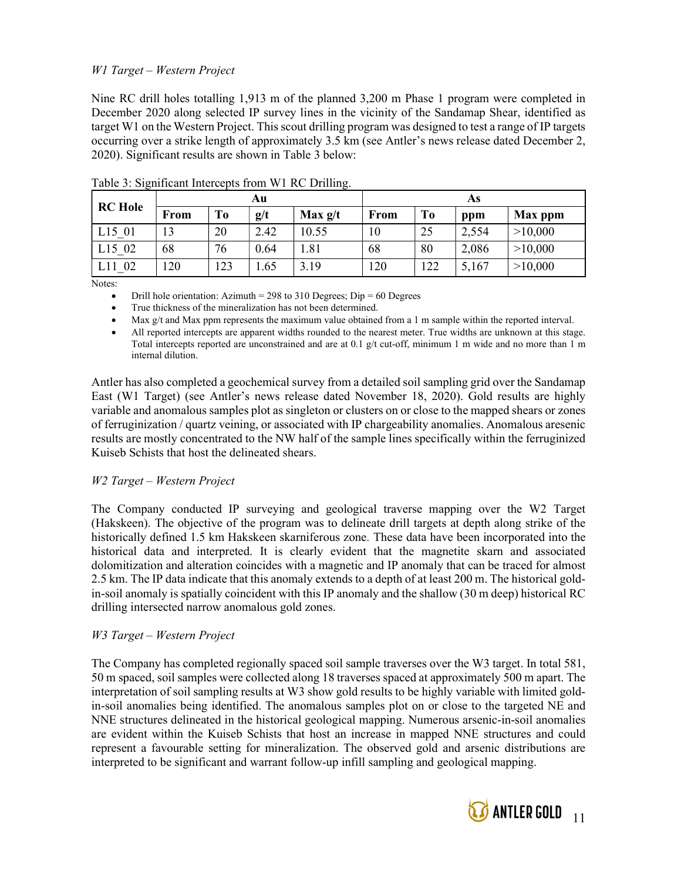# W1 Target – Western Project

Nine RC drill holes totalling 1,913 m of the planned 3,200 m Phase 1 program were completed in December 2020 along selected IP survey lines in the vicinity of the Sandamap Shear, identified as target W1 on the Western Project. This scout drilling program was designed to test a range of IP targets occurring over a strike length of approximately 3.5 km (see Antler's news release dated December 2, 2020). Significant results are shown in Table 3 below:

| Au             |      |     |      |         | As   |     |       |         |  |
|----------------|------|-----|------|---------|------|-----|-------|---------|--|
| <b>RC</b> Hole | From | Tо  | g/t  | Max g/t | From | To  | ppm   | Max ppm |  |
| L15 01         | 13   | 20  | 2.42 | 10.55   | 10   | 25  | 2,554 | >10,000 |  |
| L15 02         | 68   | 76  | 0.64 | 1.81    | 68   | 80  | 2,086 | >10,000 |  |
| 02             | 20   | 123 | .65  | 3.19    | 120  | 122 | 5,167 | >10,000 |  |

Table 3: Significant Intercepts from W1 RC Drilling.

Notes:

Drill hole orientation: Azimuth = 298 to 310 Degrees;  $Dip = 60$  Degrees

True thickness of the mineralization has not been determined.

Max g/t and Max ppm represents the maximum value obtained from a 1 m sample within the reported interval.

 All reported intercepts are apparent widths rounded to the nearest meter. True widths are unknown at this stage. Total intercepts reported are unconstrained and are at 0.1 g/t cut-off, minimum 1 m wide and no more than 1 m internal dilution.

Antler has also completed a geochemical survey from a detailed soil sampling grid over the Sandamap East (W1 Target) (see Antler's news release dated November 18, 2020). Gold results are highly variable and anomalous samples plot as singleton or clusters on or close to the mapped shears or zones of ferruginization / quartz veining, or associated with IP chargeability anomalies. Anomalous aresenic results are mostly concentrated to the NW half of the sample lines specifically within the ferruginized Kuiseb Schists that host the delineated shears.

## W2 Target – Western Project

The Company conducted IP surveying and geological traverse mapping over the W2 Target (Hakskeen). The objective of the program was to delineate drill targets at depth along strike of the historically defined 1.5 km Hakskeen skarniferous zone. These data have been incorporated into the historical data and interpreted. It is clearly evident that the magnetite skarn and associated dolomitization and alteration coincides with a magnetic and IP anomaly that can be traced for almost 2.5 km. The IP data indicate that this anomaly extends to a depth of at least 200 m. The historical goldin-soil anomaly is spatially coincident with this IP anomaly and the shallow (30 m deep) historical RC drilling intersected narrow anomalous gold zones.

## W3 Target – Western Project

The Company has completed regionally spaced soil sample traverses over the W3 target. In total 581, 50 m spaced, soil samples were collected along 18 traverses spaced at approximately 500 m apart. The interpretation of soil sampling results at W3 show gold results to be highly variable with limited goldin-soil anomalies being identified. The anomalous samples plot on or close to the targeted NE and NNE structures delineated in the historical geological mapping. Numerous arsenic-in-soil anomalies are evident within the Kuiseb Schists that host an increase in mapped NNE structures and could represent a favourable setting for mineralization. The observed gold and arsenic distributions are interpreted to be significant and warrant follow-up infill sampling and geological mapping.

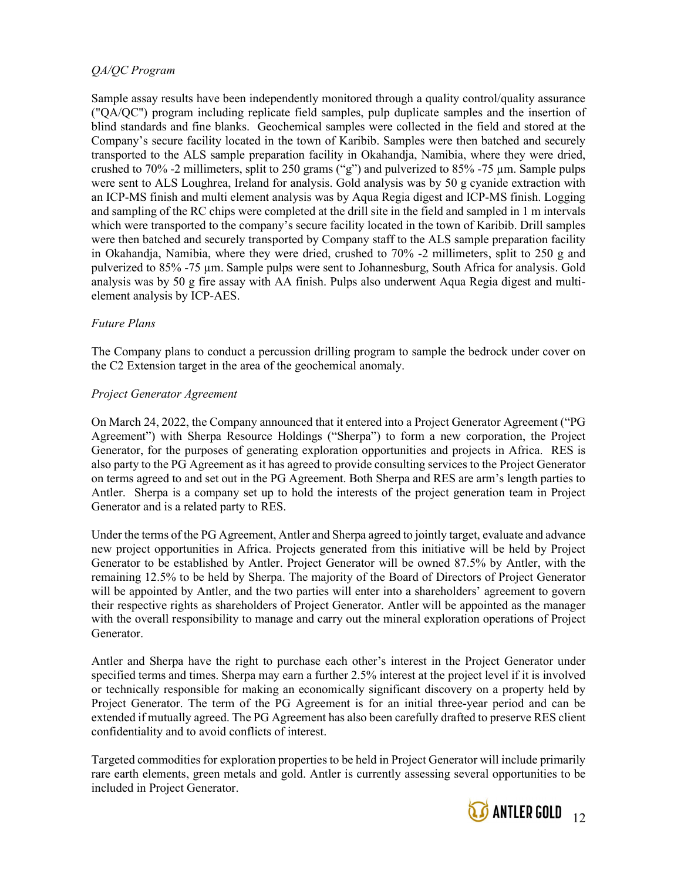# QA/QC Program

Sample assay results have been independently monitored through a quality control/quality assurance ("QA/QC") program including replicate field samples, pulp duplicate samples and the insertion of blind standards and fine blanks. Geochemical samples were collected in the field and stored at the Company's secure facility located in the town of Karibib. Samples were then batched and securely transported to the ALS sample preparation facility in Okahandja, Namibia, where they were dried, crushed to 70% -2 millimeters, split to 250 grams ("g") and pulverized to 85% -75  $\mu$ m. Sample pulps were sent to ALS Loughrea, Ireland for analysis. Gold analysis was by 50 g cyanide extraction with an ICP-MS finish and multi element analysis was by Aqua Regia digest and ICP-MS finish. Logging and sampling of the RC chips were completed at the drill site in the field and sampled in 1 m intervals which were transported to the company's secure facility located in the town of Karibib. Drill samples were then batched and securely transported by Company staff to the ALS sample preparation facility in Okahandja, Namibia, where they were dried, crushed to 70% -2 millimeters, split to 250 g and pulverized to 85% -75 µm. Sample pulps were sent to Johannesburg, South Africa for analysis. Gold analysis was by 50 g fire assay with AA finish. Pulps also underwent Aqua Regia digest and multielement analysis by ICP-AES.

## Future Plans

The Company plans to conduct a percussion drilling program to sample the bedrock under cover on the C2 Extension target in the area of the geochemical anomaly.

#### Project Generator Agreement

On March 24, 2022, the Company announced that it entered into a Project Generator Agreement ("PG Agreement") with Sherpa Resource Holdings ("Sherpa") to form a new corporation, the Project Generator, for the purposes of generating exploration opportunities and projects in Africa. RES is also party to the PG Agreement as it has agreed to provide consulting services to the Project Generator on terms agreed to and set out in the PG Agreement. Both Sherpa and RES are arm's length parties to Antler. Sherpa is a company set up to hold the interests of the project generation team in Project Generator and is a related party to RES.

Under the terms of the PG Agreement, Antler and Sherpa agreed to jointly target, evaluate and advance new project opportunities in Africa. Projects generated from this initiative will be held by Project Generator to be established by Antler. Project Generator will be owned 87.5% by Antler, with the remaining 12.5% to be held by Sherpa. The majority of the Board of Directors of Project Generator will be appointed by Antler, and the two parties will enter into a shareholders' agreement to govern their respective rights as shareholders of Project Generator. Antler will be appointed as the manager with the overall responsibility to manage and carry out the mineral exploration operations of Project Generator.

Antler and Sherpa have the right to purchase each other's interest in the Project Generator under specified terms and times. Sherpa may earn a further 2.5% interest at the project level if it is involved or technically responsible for making an economically significant discovery on a property held by Project Generator. The term of the PG Agreement is for an initial three-year period and can be extended if mutually agreed. The PG Agreement has also been carefully drafted to preserve RES client confidentiality and to avoid conflicts of interest.

Targeted commodities for exploration properties to be held in Project Generator will include primarily rare earth elements, green metals and gold. Antler is currently assessing several opportunities to be included in Project Generator.

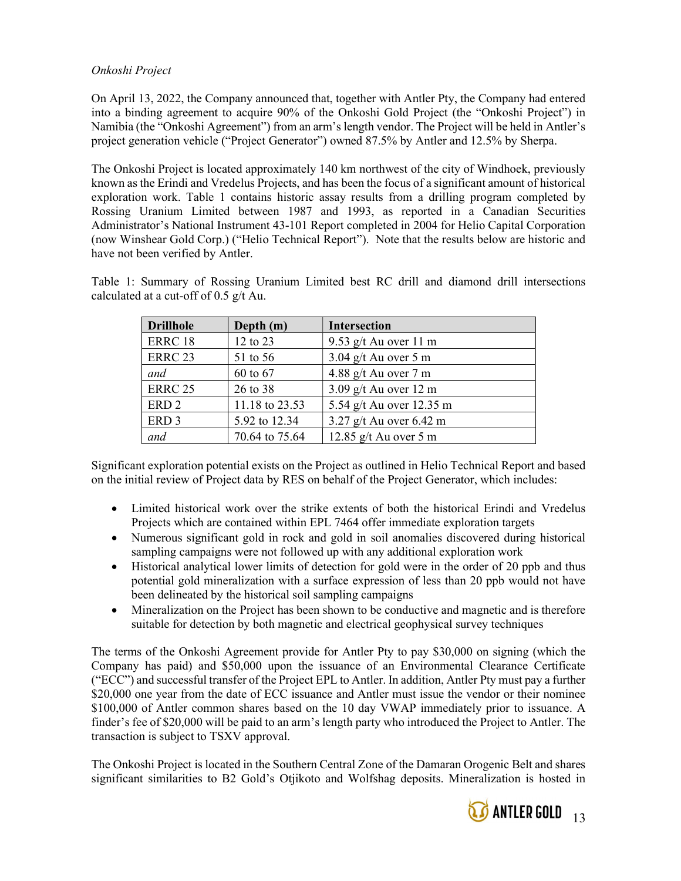# Onkoshi Project

On April 13, 2022, the Company announced that, together with Antler Pty, the Company had entered into a binding agreement to acquire 90% of the Onkoshi Gold Project (the "Onkoshi Project") in Namibia (the "Onkoshi Agreement") from an arm's length vendor. The Project will be held in Antler's project generation vehicle ("Project Generator") owned 87.5% by Antler and 12.5% by Sherpa.

The Onkoshi Project is located approximately 140 km northwest of the city of Windhoek, previously known as the Erindi and Vredelus Projects, and has been the focus of a significant amount of historical exploration work. Table 1 contains historic assay results from a drilling program completed by Rossing Uranium Limited between 1987 and 1993, as reported in a Canadian Securities Administrator's National Instrument 43-101 Report completed in 2004 for Helio Capital Corporation (now Winshear Gold Corp.) ("Helio Technical Report"). Note that the results below are historic and have not been verified by Antler.

Table 1: Summary of Rossing Uranium Limited best RC drill and diamond drill intersections calculated at a cut-off of 0.5 g/t Au.

| <b>Drillhole</b> | Depth (m)      | <b>Intersection</b>               |
|------------------|----------------|-----------------------------------|
| ERRC 18          | 12 to 23       | 9.53 g/t Au over 11 m             |
| <b>ERRC 23</b>   | 51 to 56       | $3.04$ g/t Au over 5 m            |
| and              | 60 to 67       | 4.88 g/t Au over $7 \text{ m}$    |
| <b>ERRC 25</b>   | 26 to 38       | $3.09$ g/t Au over 12 m           |
| ERD <sub>2</sub> | 11.18 to 23.53 | 5.54 g/t Au over 12.35 m          |
| ERD <sub>3</sub> | 5.92 to 12.34  | 3.27 g/t Au over $6.42 \text{ m}$ |
| and              | 70.64 to 75.64 | 12.85 $g/t$ Au over 5 m           |

Significant exploration potential exists on the Project as outlined in Helio Technical Report and based on the initial review of Project data by RES on behalf of the Project Generator, which includes:

- Limited historical work over the strike extents of both the historical Erindi and Vredelus Projects which are contained within EPL 7464 offer immediate exploration targets
- Numerous significant gold in rock and gold in soil anomalies discovered during historical sampling campaigns were not followed up with any additional exploration work
- Historical analytical lower limits of detection for gold were in the order of 20 ppb and thus potential gold mineralization with a surface expression of less than 20 ppb would not have been delineated by the historical soil sampling campaigns
- Mineralization on the Project has been shown to be conductive and magnetic and is therefore suitable for detection by both magnetic and electrical geophysical survey techniques

The terms of the Onkoshi Agreement provide for Antler Pty to pay \$30,000 on signing (which the Company has paid) and \$50,000 upon the issuance of an Environmental Clearance Certificate ("ECC") and successful transfer of the Project EPL to Antler. In addition, Antler Pty must pay a further \$20,000 one year from the date of ECC issuance and Antler must issue the vendor or their nominee \$100,000 of Antler common shares based on the 10 day VWAP immediately prior to issuance. A finder's fee of \$20,000 will be paid to an arm's length party who introduced the Project to Antler. The transaction is subject to TSXV approval.

The Onkoshi Project is located in the Southern Central Zone of the Damaran Orogenic Belt and shares significant similarities to B2 Gold's Otjikoto and Wolfshag deposits. Mineralization is hosted in

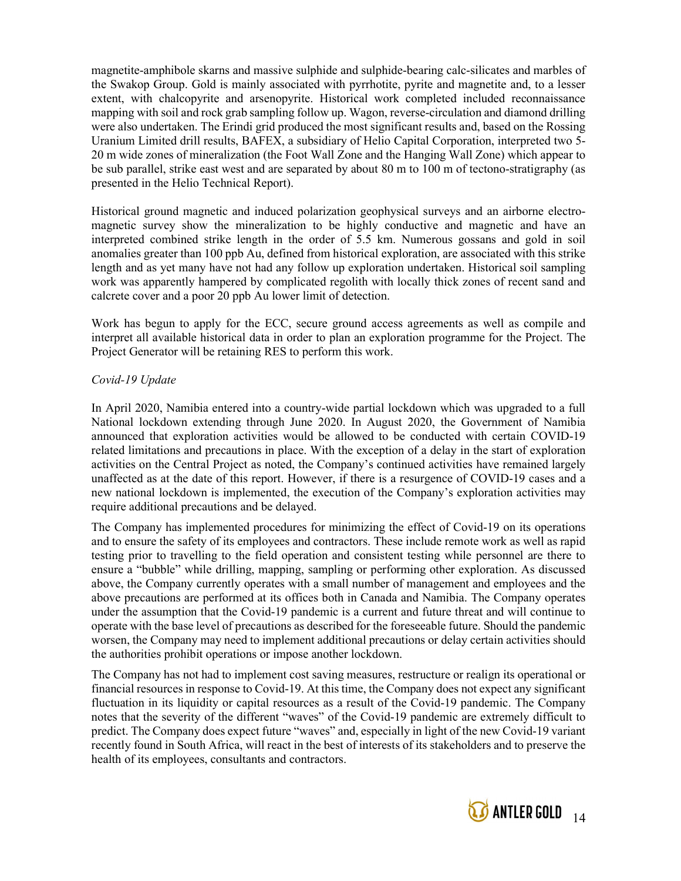magnetite-amphibole skarns and massive sulphide and sulphide-bearing calc-silicates and marbles of the Swakop Group. Gold is mainly associated with pyrrhotite, pyrite and magnetite and, to a lesser extent, with chalcopyrite and arsenopyrite. Historical work completed included reconnaissance mapping with soil and rock grab sampling follow up. Wagon, reverse-circulation and diamond drilling were also undertaken. The Erindi grid produced the most significant results and, based on the Rossing Uranium Limited drill results, BAFEX, a subsidiary of Helio Capital Corporation, interpreted two 5- 20 m wide zones of mineralization (the Foot Wall Zone and the Hanging Wall Zone) which appear to be sub parallel, strike east west and are separated by about 80 m to 100 m of tectono-stratigraphy (as presented in the Helio Technical Report).

Historical ground magnetic and induced polarization geophysical surveys and an airborne electromagnetic survey show the mineralization to be highly conductive and magnetic and have an interpreted combined strike length in the order of 5.5 km. Numerous gossans and gold in soil anomalies greater than 100 ppb Au, defined from historical exploration, are associated with this strike length and as yet many have not had any follow up exploration undertaken. Historical soil sampling work was apparently hampered by complicated regolith with locally thick zones of recent sand and calcrete cover and a poor 20 ppb Au lower limit of detection.

Work has begun to apply for the ECC, secure ground access agreements as well as compile and interpret all available historical data in order to plan an exploration programme for the Project. The Project Generator will be retaining RES to perform this work.

# Covid-19 Update

In April 2020, Namibia entered into a country-wide partial lockdown which was upgraded to a full National lockdown extending through June 2020. In August 2020, the Government of Namibia announced that exploration activities would be allowed to be conducted with certain COVID-19 related limitations and precautions in place. With the exception of a delay in the start of exploration activities on the Central Project as noted, the Company's continued activities have remained largely unaffected as at the date of this report. However, if there is a resurgence of COVID-19 cases and a new national lockdown is implemented, the execution of the Company's exploration activities may require additional precautions and be delayed.

The Company has implemented procedures for minimizing the effect of Covid-19 on its operations and to ensure the safety of its employees and contractors. These include remote work as well as rapid testing prior to travelling to the field operation and consistent testing while personnel are there to ensure a "bubble" while drilling, mapping, sampling or performing other exploration. As discussed above, the Company currently operates with a small number of management and employees and the above precautions are performed at its offices both in Canada and Namibia. The Company operates under the assumption that the Covid-19 pandemic is a current and future threat and will continue to operate with the base level of precautions as described for the foreseeable future. Should the pandemic worsen, the Company may need to implement additional precautions or delay certain activities should the authorities prohibit operations or impose another lockdown.

The Company has not had to implement cost saving measures, restructure or realign its operational or financial resources in response to Covid-19. At this time, the Company does not expect any significant fluctuation in its liquidity or capital resources as a result of the Covid-19 pandemic. The Company notes that the severity of the different "waves" of the Covid-19 pandemic are extremely difficult to predict. The Company does expect future "waves" and, especially in light of the new Covid-19 variant recently found in South Africa, will react in the best of interests of its stakeholders and to preserve the health of its employees, consultants and contractors.

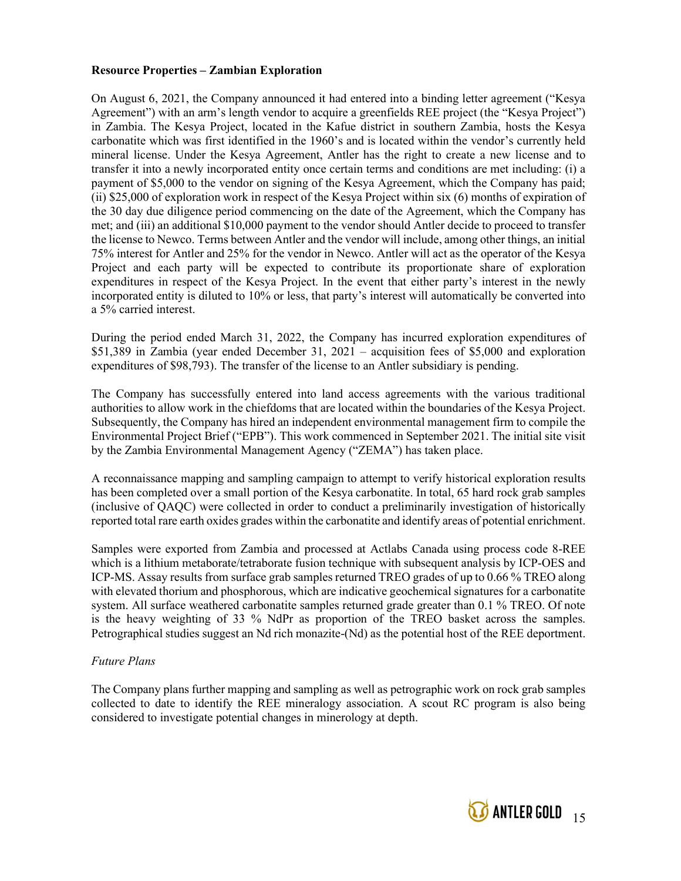# Resource Properties – Zambian Exploration

On August 6, 2021, the Company announced it had entered into a binding letter agreement ("Kesya Agreement") with an arm's length vendor to acquire a greenfields REE project (the "Kesya Project") in Zambia. The Kesya Project, located in the Kafue district in southern Zambia, hosts the Kesya carbonatite which was first identified in the 1960's and is located within the vendor's currently held mineral license. Under the Kesya Agreement, Antler has the right to create a new license and to transfer it into a newly incorporated entity once certain terms and conditions are met including: (i) a payment of \$5,000 to the vendor on signing of the Kesya Agreement, which the Company has paid; (ii) \$25,000 of exploration work in respect of the Kesya Project within six (6) months of expiration of the 30 day due diligence period commencing on the date of the Agreement, which the Company has met; and (iii) an additional \$10,000 payment to the vendor should Antler decide to proceed to transfer the license to Newco. Terms between Antler and the vendor will include, among other things, an initial 75% interest for Antler and 25% for the vendor in Newco. Antler will act as the operator of the Kesya Project and each party will be expected to contribute its proportionate share of exploration expenditures in respect of the Kesya Project. In the event that either party's interest in the newly incorporated entity is diluted to 10% or less, that party's interest will automatically be converted into a 5% carried interest.

During the period ended March 31, 2022, the Company has incurred exploration expenditures of \$51,389 in Zambia (year ended December 31, 2021 – acquisition fees of \$5,000 and exploration expenditures of \$98,793). The transfer of the license to an Antler subsidiary is pending.

The Company has successfully entered into land access agreements with the various traditional authorities to allow work in the chiefdoms that are located within the boundaries of the Kesya Project. Subsequently, the Company has hired an independent environmental management firm to compile the Environmental Project Brief ("EPB"). This work commenced in September 2021. The initial site visit by the Zambia Environmental Management Agency ("ZEMA") has taken place.

A reconnaissance mapping and sampling campaign to attempt to verify historical exploration results has been completed over a small portion of the Kesya carbonatite. In total, 65 hard rock grab samples (inclusive of QAQC) were collected in order to conduct a preliminarily investigation of historically reported total rare earth oxides grades within the carbonatite and identify areas of potential enrichment.

Samples were exported from Zambia and processed at Actlabs Canada using process code 8-REE which is a lithium metaborate/tetraborate fusion technique with subsequent analysis by ICP-OES and ICP-MS. Assay results from surface grab samples returned TREO grades of up to 0.66 % TREO along with elevated thorium and phosphorous, which are indicative geochemical signatures for a carbonatite system. All surface weathered carbonatite samples returned grade greater than 0.1 % TREO. Of note is the heavy weighting of 33 % NdPr as proportion of the TREO basket across the samples. Petrographical studies suggest an Nd rich monazite-(Nd) as the potential host of the REE deportment.

## Future Plans

The Company plans further mapping and sampling as well as petrographic work on rock grab samples collected to date to identify the REE mineralogy association. A scout RC program is also being considered to investigate potential changes in minerology at depth.

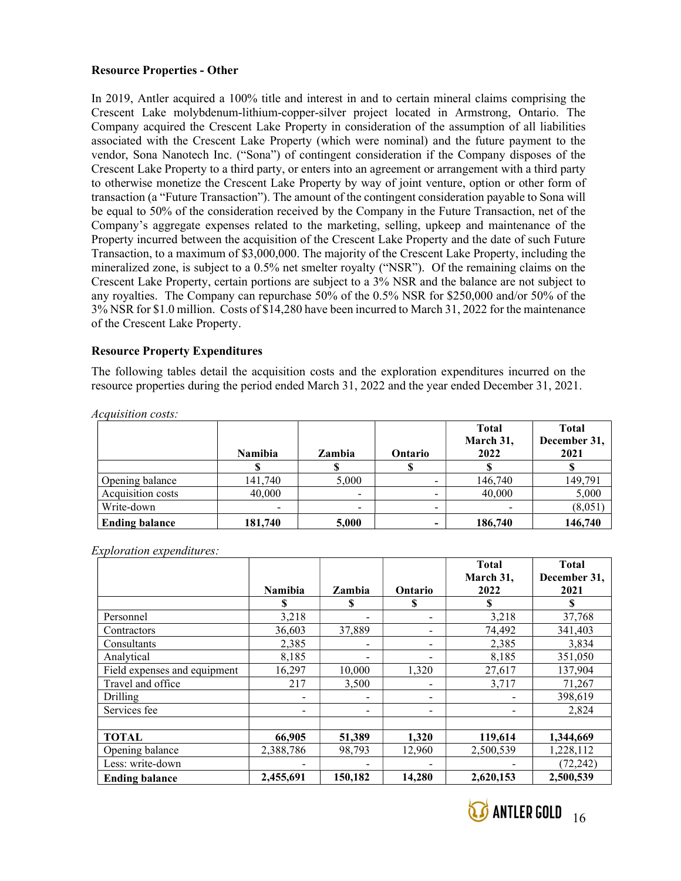# Resource Properties - Other

In 2019, Antler acquired a 100% title and interest in and to certain mineral claims comprising the Crescent Lake molybdenum-lithium-copper-silver project located in Armstrong, Ontario. The Company acquired the Crescent Lake Property in consideration of the assumption of all liabilities associated with the Crescent Lake Property (which were nominal) and the future payment to the vendor, Sona Nanotech Inc. ("Sona") of contingent consideration if the Company disposes of the Crescent Lake Property to a third party, or enters into an agreement or arrangement with a third party to otherwise monetize the Crescent Lake Property by way of joint venture, option or other form of transaction (a "Future Transaction"). The amount of the contingent consideration payable to Sona will be equal to 50% of the consideration received by the Company in the Future Transaction, net of the Company's aggregate expenses related to the marketing, selling, upkeep and maintenance of the Property incurred between the acquisition of the Crescent Lake Property and the date of such Future Transaction, to a maximum of \$3,000,000. The majority of the Crescent Lake Property, including the mineralized zone, is subject to a 0.5% net smelter royalty ("NSR"). Of the remaining claims on the Crescent Lake Property, certain portions are subject to a 3% NSR and the balance are not subject to any royalties. The Company can repurchase 50% of the 0.5% NSR for \$250,000 and/or 50% of the 3% NSR for \$1.0 million. Costs of \$14,280 have been incurred to March 31, 2022 for the maintenance of the Crescent Lake Property.

## Resource Property Expenditures

The following tables detail the acquisition costs and the exploration expenditures incurred on the resource properties during the period ended March 31, 2022 and the year ended December 31, 2021.

Acquisition costs:

|                       | <b>Namibia</b> | Zambia | Ontario | <b>Total</b><br>March 31,<br>2022 | <b>Total</b><br>December 31,<br>2021 |
|-----------------------|----------------|--------|---------|-----------------------------------|--------------------------------------|
|                       |                |        |         |                                   |                                      |
| Opening balance       | 141,740        | 5,000  |         | 146,740                           | 149,791                              |
| Acquisition costs     | 40,000         | -      |         | 40,000                            | 5,000                                |
| Write-down            | -              | -      | -       |                                   | (8,051)                              |
| <b>Ending balance</b> | 181,740        | 5,000  |         | 186,740                           | 146,740                              |

Exploration expenditures:

|                              |                |         |                          | <b>Total</b> | <b>Total</b> |
|------------------------------|----------------|---------|--------------------------|--------------|--------------|
|                              |                |         |                          | March 31,    | December 31, |
|                              | <b>Namibia</b> | Zambia  | Ontario                  | 2022         | 2021         |
|                              | S              | S       | S                        |              |              |
| Personnel                    | 3,218          |         | $\overline{\phantom{a}}$ | 3,218        | 37,768       |
| Contractors                  | 36,603         | 37,889  |                          | 74,492       | 341,403      |
| Consultants                  | 2,385          |         | -                        | 2,385        | 3,834        |
| Analytical                   | 8,185          |         | -                        | 8,185        | 351,050      |
| Field expenses and equipment | 16,297         | 10,000  | 1,320                    | 27,617       | 137,904      |
| Travel and office            | 217            | 3,500   | -                        | 3,717        | 71,267       |
| Drilling                     |                |         | $\overline{\phantom{a}}$ |              | 398,619      |
| Services fee                 |                |         | -                        |              | 2,824        |
|                              |                |         |                          |              |              |
| <b>TOTAL</b>                 | 66,905         | 51,389  | 1,320                    | 119,614      | 1,344,669    |
| Opening balance              | 2,388,786      | 98,793  | 12,960                   | 2,500,539    | 1,228,112    |
| Less: write-down             |                |         |                          |              | (72, 242)    |
| <b>Ending balance</b>        | 2,455,691      | 150,182 | 14,280                   | 2,620,153    | 2,500,539    |

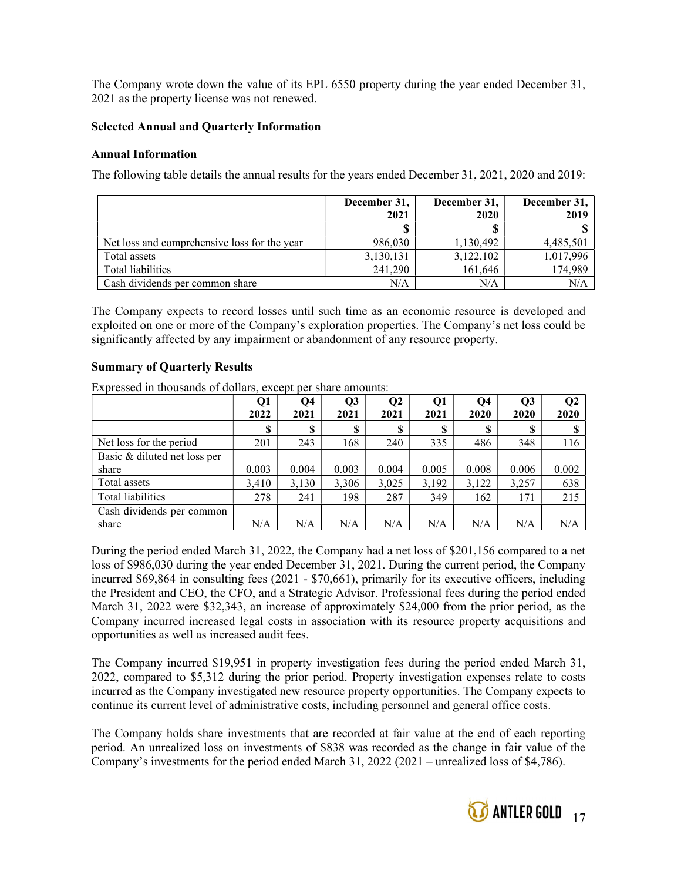The Company wrote down the value of its EPL 6550 property during the year ended December 31, 2021 as the property license was not renewed.

#### Selected Annual and Quarterly Information

#### Annual Information

The following table details the annual results for the years ended December 31, 2021, 2020 and 2019:

|                                              | December 31, | December 31, | December 31, |
|----------------------------------------------|--------------|--------------|--------------|
|                                              | 2021         | 2020         | 2019         |
|                                              |              |              |              |
| Net loss and comprehensive loss for the year | 986,030      | 1,130,492    | 4,485,501    |
| Total assets                                 | 3,130,131    | 3,122,102    | 1,017,996    |
| Total liabilities                            | 241,290      | 161,646      | 174,989      |
| Cash dividends per common share              | N/A          | N/A          | N/A          |

The Company expects to record losses until such time as an economic resource is developed and exploited on one or more of the Company's exploration properties. The Company's net loss could be significantly affected by any impairment or abandonment of any resource property.

## Summary of Quarterly Results

Expressed in thousands of dollars, except per share amounts:

|                              | Q1<br>2022 | Q <sub>4</sub><br>2021 | Q3<br>2021 | Q <sub>2</sub><br>2021 | Q1<br>2021 | Q4<br>2020 | Q3<br>2020 | Q <sub>2</sub><br>2020 |
|------------------------------|------------|------------------------|------------|------------------------|------------|------------|------------|------------------------|
|                              | \$         | S                      | S          | S                      |            | S          | S          |                        |
| Net loss for the period      | 201        | 243                    | 168        | 240                    | 335        | 486        | 348        | 116                    |
| Basic & diluted net loss per |            |                        |            |                        |            |            |            |                        |
| share                        | 0.003      | 0.004                  | 0.003      | 0.004                  | 0.005      | 0.008      | 0.006      | 0.002                  |
| Total assets                 | 3,410      | 3,130                  | 3,306      | 3,025                  | 3,192      | 3,122      | 3,257      | 638                    |
| Total liabilities            | 278        | 241                    | 198        | 287                    | 349        | 162        | 171        | 215                    |
| Cash dividends per common    |            |                        |            |                        |            |            |            |                        |
| share                        | N/A        | N/A                    | N/A        | N/A                    | N/A        | N/A        | N/A        | N/A                    |

During the period ended March 31, 2022, the Company had a net loss of \$201,156 compared to a net loss of \$986,030 during the year ended December 31, 2021. During the current period, the Company incurred \$69,864 in consulting fees (2021 - \$70,661), primarily for its executive officers, including the President and CEO, the CFO, and a Strategic Advisor. Professional fees during the period ended March 31, 2022 were \$32,343, an increase of approximately \$24,000 from the prior period, as the Company incurred increased legal costs in association with its resource property acquisitions and opportunities as well as increased audit fees.

The Company incurred \$19,951 in property investigation fees during the period ended March 31, 2022, compared to \$5,312 during the prior period. Property investigation expenses relate to costs incurred as the Company investigated new resource property opportunities. The Company expects to continue its current level of administrative costs, including personnel and general office costs.

The Company holds share investments that are recorded at fair value at the end of each reporting period. An unrealized loss on investments of \$838 was recorded as the change in fair value of the Company's investments for the period ended March 31, 2022 (2021 – unrealized loss of \$4,786).

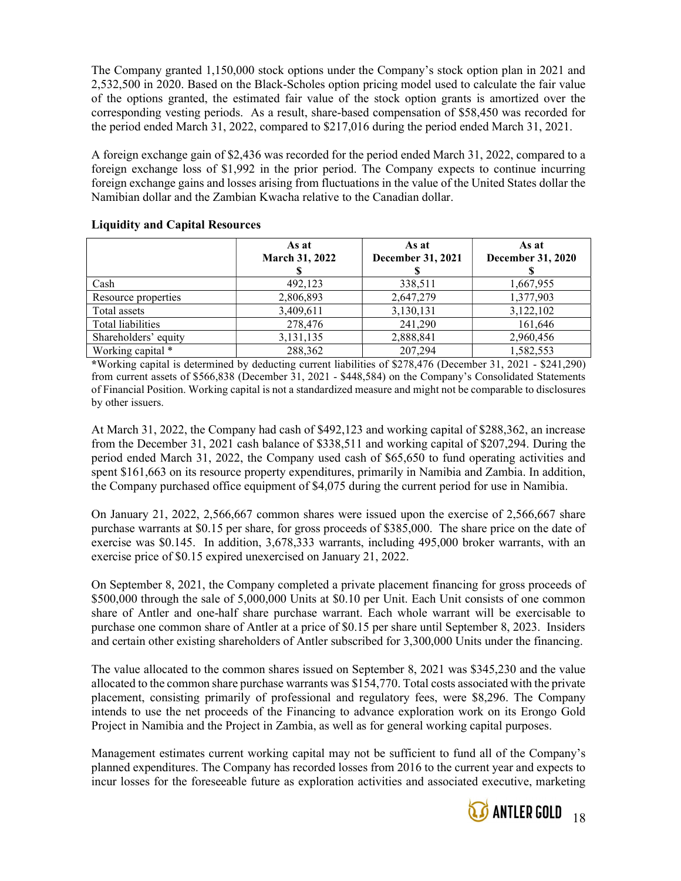The Company granted 1,150,000 stock options under the Company's stock option plan in 2021 and 2,532,500 in 2020. Based on the Black-Scholes option pricing model used to calculate the fair value of the options granted, the estimated fair value of the stock option grants is amortized over the corresponding vesting periods. As a result, share-based compensation of \$58,450 was recorded for the period ended March 31, 2022, compared to \$217,016 during the period ended March 31, 2021.

A foreign exchange gain of \$2,436 was recorded for the period ended March 31, 2022, compared to a foreign exchange loss of \$1,992 in the prior period. The Company expects to continue incurring foreign exchange gains and losses arising from fluctuations in the value of the United States dollar the Namibian dollar and the Zambian Kwacha relative to the Canadian dollar.

|                      | As at<br>March 31, 2022 | As at<br><b>December 31, 2021</b> | As at<br><b>December 31, 2020</b> |
|----------------------|-------------------------|-----------------------------------|-----------------------------------|
| Cash                 | 492,123                 | 338,511                           | 1,667,955                         |
| Resource properties  | 2,806,893               | 2,647,279                         | 1,377,903                         |
| Total assets         | 3,409,611               | 3,130,131                         | 3,122,102                         |
| Total liabilities    | 278,476                 | 241,290                           | 161,646                           |
| Shareholders' equity | 3,131,135               | 2,888,841                         | 2,960,456                         |
| Working capital *    | 288,362                 | 207,294                           | 1,582,553                         |

## Liquidity and Capital Resources

\*Working capital is determined by deducting current liabilities of \$278,476 (December 31, 2021 - \$241,290) from current assets of \$566,838 (December 31, 2021 - \$448,584) on the Company's Consolidated Statements of Financial Position. Working capital is not a standardized measure and might not be comparable to disclosures by other issuers.

At March 31, 2022, the Company had cash of \$492,123 and working capital of \$288,362, an increase from the December 31, 2021 cash balance of \$338,511 and working capital of \$207,294. During the period ended March 31, 2022, the Company used cash of \$65,650 to fund operating activities and spent \$161,663 on its resource property expenditures, primarily in Namibia and Zambia. In addition, the Company purchased office equipment of \$4,075 during the current period for use in Namibia.

On January 21, 2022, 2,566,667 common shares were issued upon the exercise of 2,566,667 share purchase warrants at \$0.15 per share, for gross proceeds of \$385,000. The share price on the date of exercise was \$0.145. In addition, 3,678,333 warrants, including 495,000 broker warrants, with an exercise price of \$0.15 expired unexercised on January 21, 2022.

On September 8, 2021, the Company completed a private placement financing for gross proceeds of \$500,000 through the sale of 5,000,000 Units at \$0.10 per Unit. Each Unit consists of one common share of Antler and one-half share purchase warrant. Each whole warrant will be exercisable to purchase one common share of Antler at a price of \$0.15 per share until September 8, 2023. Insiders and certain other existing shareholders of Antler subscribed for 3,300,000 Units under the financing.

The value allocated to the common shares issued on September 8, 2021 was \$345,230 and the value allocated to the common share purchase warrants was \$154,770. Total costs associated with the private placement, consisting primarily of professional and regulatory fees, were \$8,296. The Company intends to use the net proceeds of the Financing to advance exploration work on its Erongo Gold Project in Namibia and the Project in Zambia, as well as for general working capital purposes.

Management estimates current working capital may not be sufficient to fund all of the Company's planned expenditures. The Company has recorded losses from 2016 to the current year and expects to incur losses for the foreseeable future as exploration activities and associated executive, marketing

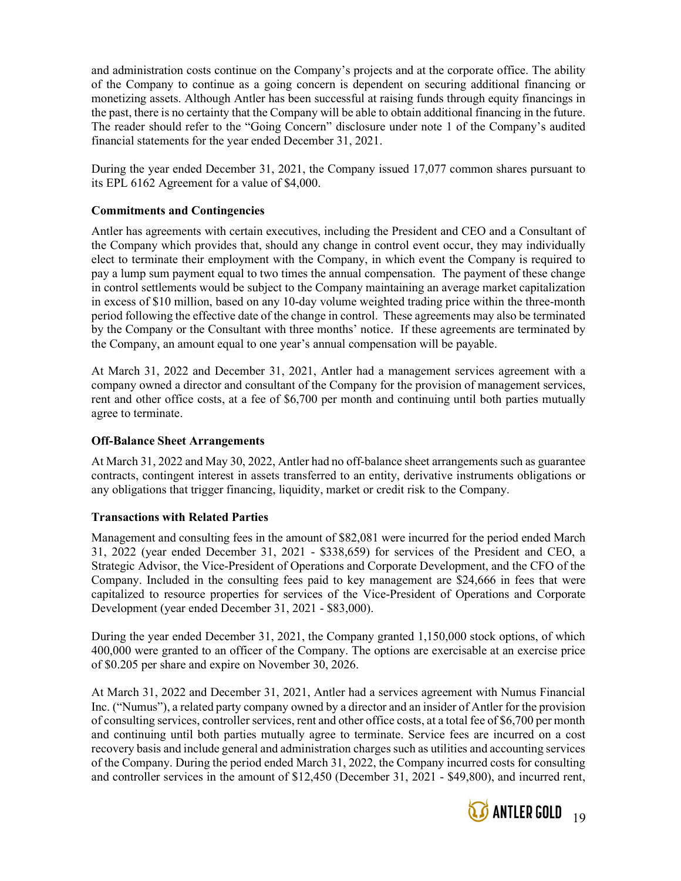and administration costs continue on the Company's projects and at the corporate office. The ability of the Company to continue as a going concern is dependent on securing additional financing or monetizing assets. Although Antler has been successful at raising funds through equity financings in the past, there is no certainty that the Company will be able to obtain additional financing in the future. The reader should refer to the "Going Concern" disclosure under note 1 of the Company's audited financial statements for the year ended December 31, 2021.

During the year ended December 31, 2021, the Company issued 17,077 common shares pursuant to its EPL 6162 Agreement for a value of \$4,000.

# Commitments and Contingencies

Antler has agreements with certain executives, including the President and CEO and a Consultant of the Company which provides that, should any change in control event occur, they may individually elect to terminate their employment with the Company, in which event the Company is required to pay a lump sum payment equal to two times the annual compensation. The payment of these change in control settlements would be subject to the Company maintaining an average market capitalization in excess of \$10 million, based on any 10-day volume weighted trading price within the three-month period following the effective date of the change in control. These agreements may also be terminated by the Company or the Consultant with three months' notice. If these agreements are terminated by the Company, an amount equal to one year's annual compensation will be payable.

At March 31, 2022 and December 31, 2021, Antler had a management services agreement with a company owned a director and consultant of the Company for the provision of management services, rent and other office costs, at a fee of \$6,700 per month and continuing until both parties mutually agree to terminate.

## Off-Balance Sheet Arrangements

At March 31, 2022 and May 30, 2022, Antler had no off-balance sheet arrangements such as guarantee contracts, contingent interest in assets transferred to an entity, derivative instruments obligations or any obligations that trigger financing, liquidity, market or credit risk to the Company.

## Transactions with Related Parties

Management and consulting fees in the amount of \$82,081 were incurred for the period ended March 31, 2022 (year ended December 31, 2021 - \$338,659) for services of the President and CEO, a Strategic Advisor, the Vice-President of Operations and Corporate Development, and the CFO of the Company. Included in the consulting fees paid to key management are \$24,666 in fees that were capitalized to resource properties for services of the Vice-President of Operations and Corporate Development (year ended December 31, 2021 - \$83,000).

During the year ended December 31, 2021, the Company granted 1,150,000 stock options, of which 400,000 were granted to an officer of the Company. The options are exercisable at an exercise price of \$0.205 per share and expire on November 30, 2026.

At March 31, 2022 and December 31, 2021, Antler had a services agreement with Numus Financial Inc. ("Numus"), a related party company owned by a director and an insider of Antler for the provision of consulting services, controller services, rent and other office costs, at a total fee of \$6,700 per month and continuing until both parties mutually agree to terminate. Service fees are incurred on a cost recovery basis and include general and administration charges such as utilities and accounting services of the Company. During the period ended March 31, 2022, the Company incurred costs for consulting and controller services in the amount of \$12,450 (December 31, 2021 - \$49,800), and incurred rent,

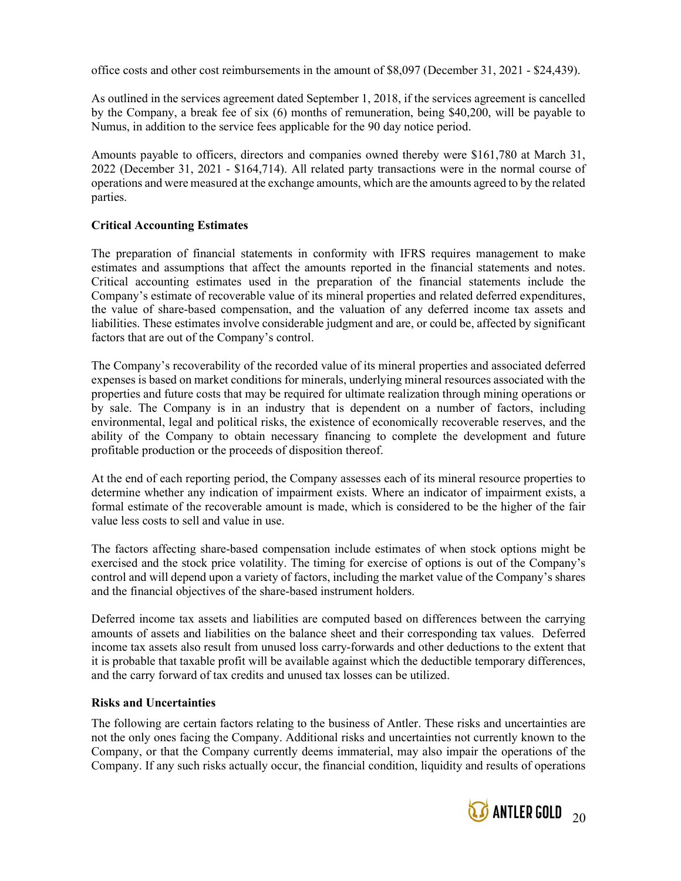office costs and other cost reimbursements in the amount of \$8,097 (December 31, 2021 - \$24,439).

As outlined in the services agreement dated September 1, 2018, if the services agreement is cancelled by the Company, a break fee of six (6) months of remuneration, being \$40,200, will be payable to Numus, in addition to the service fees applicable for the 90 day notice period.

Amounts payable to officers, directors and companies owned thereby were \$161,780 at March 31, 2022 (December 31, 2021 - \$164,714). All related party transactions were in the normal course of operations and were measured at the exchange amounts, which are the amounts agreed to by the related parties.

# Critical Accounting Estimates

The preparation of financial statements in conformity with IFRS requires management to make estimates and assumptions that affect the amounts reported in the financial statements and notes. Critical accounting estimates used in the preparation of the financial statements include the Company's estimate of recoverable value of its mineral properties and related deferred expenditures, the value of share-based compensation, and the valuation of any deferred income tax assets and liabilities. These estimates involve considerable judgment and are, or could be, affected by significant factors that are out of the Company's control.

The Company's recoverability of the recorded value of its mineral properties and associated deferred expenses is based on market conditions for minerals, underlying mineral resources associated with the properties and future costs that may be required for ultimate realization through mining operations or by sale. The Company is in an industry that is dependent on a number of factors, including environmental, legal and political risks, the existence of economically recoverable reserves, and the ability of the Company to obtain necessary financing to complete the development and future profitable production or the proceeds of disposition thereof.

At the end of each reporting period, the Company assesses each of its mineral resource properties to determine whether any indication of impairment exists. Where an indicator of impairment exists, a formal estimate of the recoverable amount is made, which is considered to be the higher of the fair value less costs to sell and value in use.

The factors affecting share-based compensation include estimates of when stock options might be exercised and the stock price volatility. The timing for exercise of options is out of the Company's control and will depend upon a variety of factors, including the market value of the Company's shares and the financial objectives of the share-based instrument holders.

Deferred income tax assets and liabilities are computed based on differences between the carrying amounts of assets and liabilities on the balance sheet and their corresponding tax values. Deferred income tax assets also result from unused loss carry-forwards and other deductions to the extent that it is probable that taxable profit will be available against which the deductible temporary differences, and the carry forward of tax credits and unused tax losses can be utilized.

## Risks and Uncertainties

The following are certain factors relating to the business of Antler. These risks and uncertainties are not the only ones facing the Company. Additional risks and uncertainties not currently known to the Company, or that the Company currently deems immaterial, may also impair the operations of the Company. If any such risks actually occur, the financial condition, liquidity and results of operations

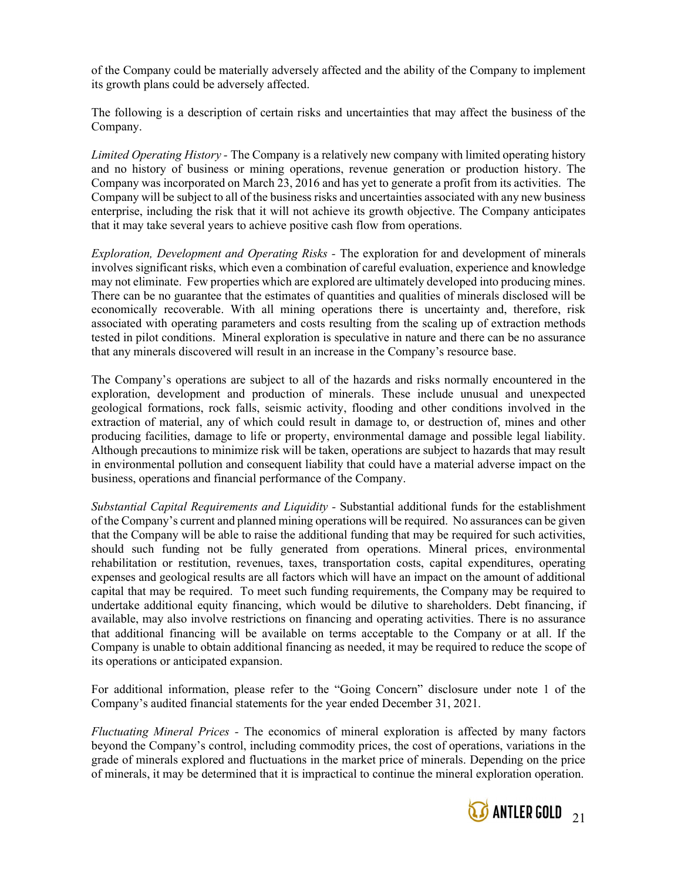of the Company could be materially adversely affected and the ability of the Company to implement its growth plans could be adversely affected.

The following is a description of certain risks and uncertainties that may affect the business of the Company.

Limited Operating History - The Company is a relatively new company with limited operating history and no history of business or mining operations, revenue generation or production history. The Company was incorporated on March 23, 2016 and has yet to generate a profit from its activities. The Company will be subject to all of the business risks and uncertainties associated with any new business enterprise, including the risk that it will not achieve its growth objective. The Company anticipates that it may take several years to achieve positive cash flow from operations.

Exploration, Development and Operating Risks - The exploration for and development of minerals involves significant risks, which even a combination of careful evaluation, experience and knowledge may not eliminate. Few properties which are explored are ultimately developed into producing mines. There can be no guarantee that the estimates of quantities and qualities of minerals disclosed will be economically recoverable. With all mining operations there is uncertainty and, therefore, risk associated with operating parameters and costs resulting from the scaling up of extraction methods tested in pilot conditions. Mineral exploration is speculative in nature and there can be no assurance that any minerals discovered will result in an increase in the Company's resource base.

The Company's operations are subject to all of the hazards and risks normally encountered in the exploration, development and production of minerals. These include unusual and unexpected geological formations, rock falls, seismic activity, flooding and other conditions involved in the extraction of material, any of which could result in damage to, or destruction of, mines and other producing facilities, damage to life or property, environmental damage and possible legal liability. Although precautions to minimize risk will be taken, operations are subject to hazards that may result in environmental pollution and consequent liability that could have a material adverse impact on the business, operations and financial performance of the Company.

Substantial Capital Requirements and Liquidity - Substantial additional funds for the establishment of the Company's current and planned mining operations will be required. No assurances can be given that the Company will be able to raise the additional funding that may be required for such activities, should such funding not be fully generated from operations. Mineral prices, environmental rehabilitation or restitution, revenues, taxes, transportation costs, capital expenditures, operating expenses and geological results are all factors which will have an impact on the amount of additional capital that may be required. To meet such funding requirements, the Company may be required to undertake additional equity financing, which would be dilutive to shareholders. Debt financing, if available, may also involve restrictions on financing and operating activities. There is no assurance that additional financing will be available on terms acceptable to the Company or at all. If the Company is unable to obtain additional financing as needed, it may be required to reduce the scope of its operations or anticipated expansion.

For additional information, please refer to the "Going Concern" disclosure under note 1 of the Company's audited financial statements for the year ended December 31, 2021.

Fluctuating Mineral Prices - The economics of mineral exploration is affected by many factors beyond the Company's control, including commodity prices, the cost of operations, variations in the grade of minerals explored and fluctuations in the market price of minerals. Depending on the price of minerals, it may be determined that it is impractical to continue the mineral exploration operation.

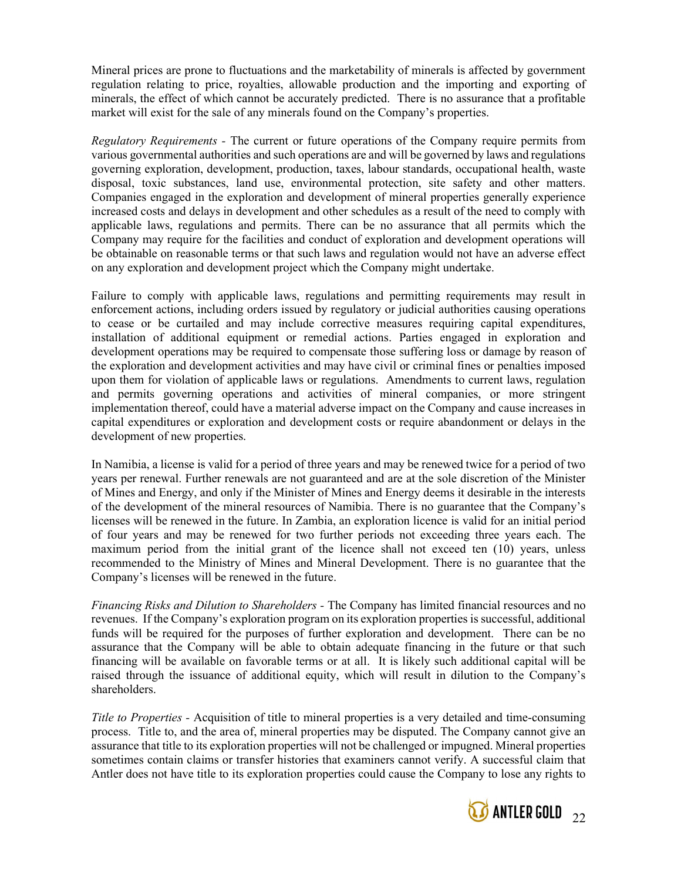Mineral prices are prone to fluctuations and the marketability of minerals is affected by government regulation relating to price, royalties, allowable production and the importing and exporting of minerals, the effect of which cannot be accurately predicted. There is no assurance that a profitable market will exist for the sale of any minerals found on the Company's properties.

Regulatory Requirements - The current or future operations of the Company require permits from various governmental authorities and such operations are and will be governed by laws and regulations governing exploration, development, production, taxes, labour standards, occupational health, waste disposal, toxic substances, land use, environmental protection, site safety and other matters. Companies engaged in the exploration and development of mineral properties generally experience increased costs and delays in development and other schedules as a result of the need to comply with applicable laws, regulations and permits. There can be no assurance that all permits which the Company may require for the facilities and conduct of exploration and development operations will be obtainable on reasonable terms or that such laws and regulation would not have an adverse effect on any exploration and development project which the Company might undertake.

Failure to comply with applicable laws, regulations and permitting requirements may result in enforcement actions, including orders issued by regulatory or judicial authorities causing operations to cease or be curtailed and may include corrective measures requiring capital expenditures, installation of additional equipment or remedial actions. Parties engaged in exploration and development operations may be required to compensate those suffering loss or damage by reason of the exploration and development activities and may have civil or criminal fines or penalties imposed upon them for violation of applicable laws or regulations. Amendments to current laws, regulation and permits governing operations and activities of mineral companies, or more stringent implementation thereof, could have a material adverse impact on the Company and cause increases in capital expenditures or exploration and development costs or require abandonment or delays in the development of new properties.

In Namibia, a license is valid for a period of three years and may be renewed twice for a period of two years per renewal. Further renewals are not guaranteed and are at the sole discretion of the Minister of Mines and Energy, and only if the Minister of Mines and Energy deems it desirable in the interests of the development of the mineral resources of Namibia. There is no guarantee that the Company's licenses will be renewed in the future. In Zambia, an exploration licence is valid for an initial period of four years and may be renewed for two further periods not exceeding three years each. The maximum period from the initial grant of the licence shall not exceed ten (10) years, unless recommended to the Ministry of Mines and Mineral Development. There is no guarantee that the Company's licenses will be renewed in the future.

Financing Risks and Dilution to Shareholders - The Company has limited financial resources and no revenues. If the Company's exploration program on its exploration properties is successful, additional funds will be required for the purposes of further exploration and development. There can be no assurance that the Company will be able to obtain adequate financing in the future or that such financing will be available on favorable terms or at all. It is likely such additional capital will be raised through the issuance of additional equity, which will result in dilution to the Company's shareholders.

Title to Properties - Acquisition of title to mineral properties is a very detailed and time-consuming process. Title to, and the area of, mineral properties may be disputed. The Company cannot give an assurance that title to its exploration properties will not be challenged or impugned. Mineral properties sometimes contain claims or transfer histories that examiners cannot verify. A successful claim that Antler does not have title to its exploration properties could cause the Company to lose any rights to

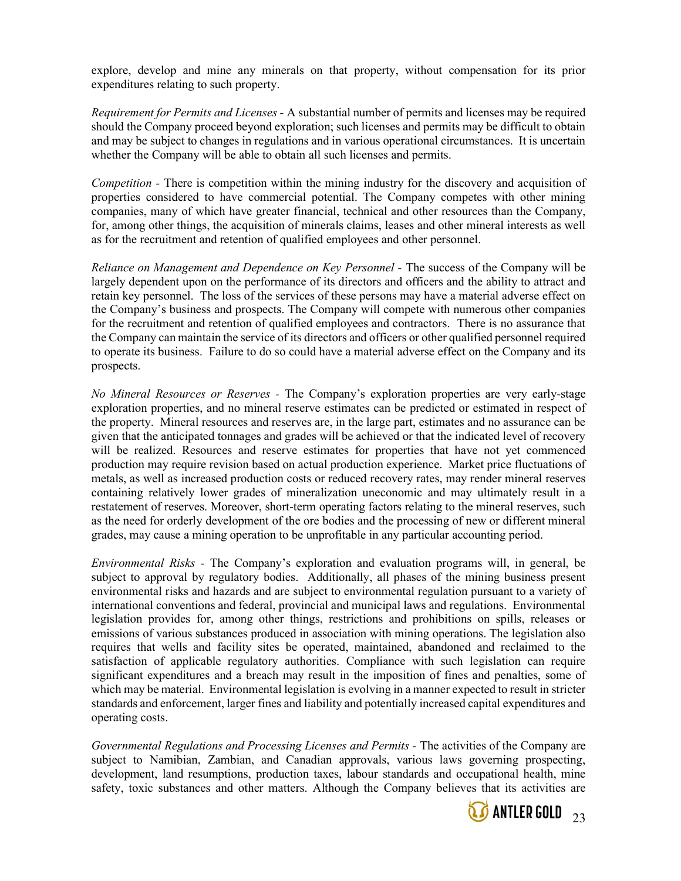explore, develop and mine any minerals on that property, without compensation for its prior expenditures relating to such property.

Requirement for Permits and Licenses - A substantial number of permits and licenses may be required should the Company proceed beyond exploration; such licenses and permits may be difficult to obtain and may be subject to changes in regulations and in various operational circumstances. It is uncertain whether the Company will be able to obtain all such licenses and permits.

Competition - There is competition within the mining industry for the discovery and acquisition of properties considered to have commercial potential. The Company competes with other mining companies, many of which have greater financial, technical and other resources than the Company, for, among other things, the acquisition of minerals claims, leases and other mineral interests as well as for the recruitment and retention of qualified employees and other personnel.

Reliance on Management and Dependence on Key Personnel - The success of the Company will be largely dependent upon on the performance of its directors and officers and the ability to attract and retain key personnel. The loss of the services of these persons may have a material adverse effect on the Company's business and prospects. The Company will compete with numerous other companies for the recruitment and retention of qualified employees and contractors. There is no assurance that the Company can maintain the service of its directors and officers or other qualified personnel required to operate its business. Failure to do so could have a material adverse effect on the Company and its prospects.

No Mineral Resources or Reserves - The Company's exploration properties are very early-stage exploration properties, and no mineral reserve estimates can be predicted or estimated in respect of the property. Mineral resources and reserves are, in the large part, estimates and no assurance can be given that the anticipated tonnages and grades will be achieved or that the indicated level of recovery will be realized. Resources and reserve estimates for properties that have not yet commenced production may require revision based on actual production experience. Market price fluctuations of metals, as well as increased production costs or reduced recovery rates, may render mineral reserves containing relatively lower grades of mineralization uneconomic and may ultimately result in a restatement of reserves. Moreover, short-term operating factors relating to the mineral reserves, such as the need for orderly development of the ore bodies and the processing of new or different mineral grades, may cause a mining operation to be unprofitable in any particular accounting period.

Environmental Risks - The Company's exploration and evaluation programs will, in general, be subject to approval by regulatory bodies. Additionally, all phases of the mining business present environmental risks and hazards and are subject to environmental regulation pursuant to a variety of international conventions and federal, provincial and municipal laws and regulations. Environmental legislation provides for, among other things, restrictions and prohibitions on spills, releases or emissions of various substances produced in association with mining operations. The legislation also requires that wells and facility sites be operated, maintained, abandoned and reclaimed to the satisfaction of applicable regulatory authorities. Compliance with such legislation can require significant expenditures and a breach may result in the imposition of fines and penalties, some of which may be material. Environmental legislation is evolving in a manner expected to result in stricter standards and enforcement, larger fines and liability and potentially increased capital expenditures and operating costs.

Governmental Regulations and Processing Licenses and Permits - The activities of the Company are subject to Namibian, Zambian, and Canadian approvals, various laws governing prospecting, development, land resumptions, production taxes, labour standards and occupational health, mine safety, toxic substances and other matters. Although the Company believes that its activities are

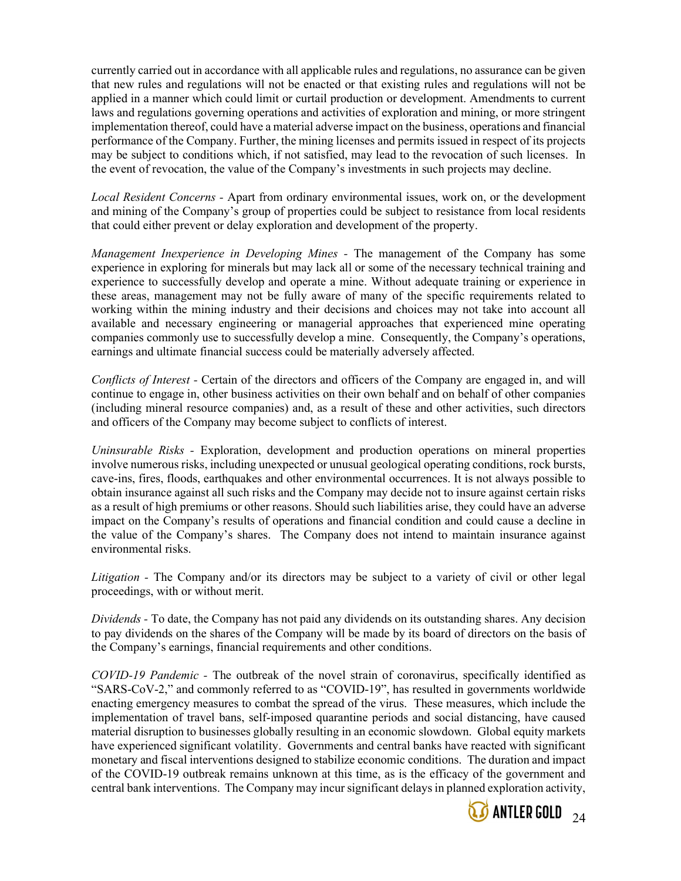currently carried out in accordance with all applicable rules and regulations, no assurance can be given that new rules and regulations will not be enacted or that existing rules and regulations will not be applied in a manner which could limit or curtail production or development. Amendments to current laws and regulations governing operations and activities of exploration and mining, or more stringent implementation thereof, could have a material adverse impact on the business, operations and financial performance of the Company. Further, the mining licenses and permits issued in respect of its projects may be subject to conditions which, if not satisfied, may lead to the revocation of such licenses. In the event of revocation, the value of the Company's investments in such projects may decline.

Local Resident Concerns - Apart from ordinary environmental issues, work on, or the development and mining of the Company's group of properties could be subject to resistance from local residents that could either prevent or delay exploration and development of the property.

Management Inexperience in Developing Mines - The management of the Company has some experience in exploring for minerals but may lack all or some of the necessary technical training and experience to successfully develop and operate a mine. Without adequate training or experience in these areas, management may not be fully aware of many of the specific requirements related to working within the mining industry and their decisions and choices may not take into account all available and necessary engineering or managerial approaches that experienced mine operating companies commonly use to successfully develop a mine. Consequently, the Company's operations, earnings and ultimate financial success could be materially adversely affected.

Conflicts of Interest - Certain of the directors and officers of the Company are engaged in, and will continue to engage in, other business activities on their own behalf and on behalf of other companies (including mineral resource companies) and, as a result of these and other activities, such directors and officers of the Company may become subject to conflicts of interest.

Uninsurable Risks - Exploration, development and production operations on mineral properties involve numerous risks, including unexpected or unusual geological operating conditions, rock bursts, cave-ins, fires, floods, earthquakes and other environmental occurrences. It is not always possible to obtain insurance against all such risks and the Company may decide not to insure against certain risks as a result of high premiums or other reasons. Should such liabilities arise, they could have an adverse impact on the Company's results of operations and financial condition and could cause a decline in the value of the Company's shares. The Company does not intend to maintain insurance against environmental risks.

Litigation - The Company and/or its directors may be subject to a variety of civil or other legal proceedings, with or without merit.

Dividends - To date, the Company has not paid any dividends on its outstanding shares. Any decision to pay dividends on the shares of the Company will be made by its board of directors on the basis of the Company's earnings, financial requirements and other conditions.

COVID-19 Pandemic - The outbreak of the novel strain of coronavirus, specifically identified as "SARS-CoV-2," and commonly referred to as "COVID-19", has resulted in governments worldwide enacting emergency measures to combat the spread of the virus. These measures, which include the implementation of travel bans, self-imposed quarantine periods and social distancing, have caused material disruption to businesses globally resulting in an economic slowdown. Global equity markets have experienced significant volatility. Governments and central banks have reacted with significant monetary and fiscal interventions designed to stabilize economic conditions. The duration and impact of the COVID-19 outbreak remains unknown at this time, as is the efficacy of the government and central bank interventions. The Company may incur significant delays in planned exploration activity,